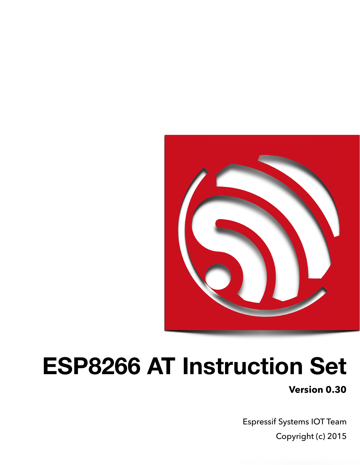

# **ESP8266 AT Instruction Set**

**Version 0.30**

Espressif Systems IOT Team Copyright (c) 2015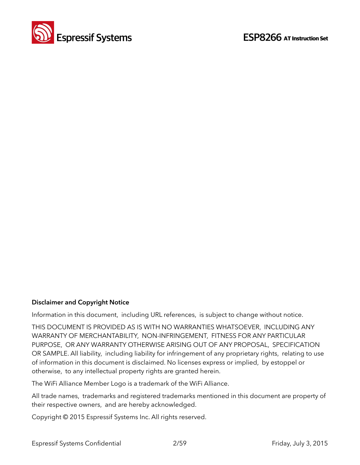

#### **Disclaimer and Copyright Notice**

Information in this document, including URL references, is subject to change without notice.

THIS DOCUMENT IS PROVIDED AS IS WITH NO WARRANTIES WHATSOEVER, INCLUDING ANY WARRANTY OF MERCHANTABILITY, NON-INFRINGEMENT, FITNESS FOR ANY PARTICULAR PURPOSE, OR ANY WARRANTY OTHERWISE ARISING OUT OF ANY PROPOSAL, SPECIFICATION OR SAMPLE. All liability, including liability for infringement of any proprietary rights, relating to use of information in this document is disclaimed. No licenses express or implied, by estoppel or otherwise, to any intellectual property rights are granted herein.

The WiFi Alliance Member Logo is a trademark of the WiFi Alliance.

All trade names, trademarks and registered trademarks mentioned in this document are property of their respective owners, and are hereby acknowledged.

Copyright © 2015 Espressif Systems Inc. All rights reserved.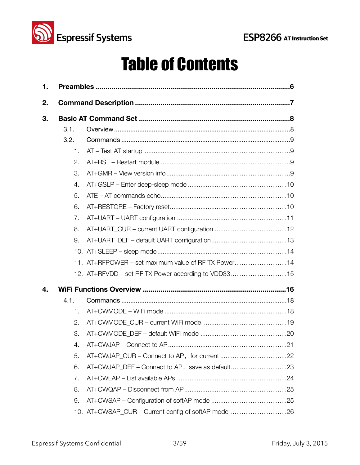

## Table of Contents

| 1. |      |                                                     |
|----|------|-----------------------------------------------------|
| 2. |      |                                                     |
| 3. |      |                                                     |
|    | 3.1. |                                                     |
|    | 3.2. |                                                     |
|    | 1.   |                                                     |
|    | 2.   |                                                     |
|    | 3.   |                                                     |
|    | 4.   |                                                     |
|    | 5.   |                                                     |
|    | 6.   |                                                     |
|    | 7.   |                                                     |
|    | 8.   |                                                     |
|    | 9.   |                                                     |
|    |      |                                                     |
|    |      | 11. AT+RFPOWER - set maximum value of RF TX Power14 |
|    |      | 12. AT+RFVDD - set RF TX Power according to VDD3315 |
| 4. |      |                                                     |
|    | 4.1. |                                                     |
|    | 1.   |                                                     |
|    | 2.   |                                                     |
|    | 3.   |                                                     |
|    | 4.   |                                                     |
|    | 5.   |                                                     |
|    | 6.   |                                                     |
|    | 7.   |                                                     |
|    | 8.   |                                                     |
|    | 9.   |                                                     |
|    |      | 10. AT+CWSAP_CUR - Current config of softAP mode26  |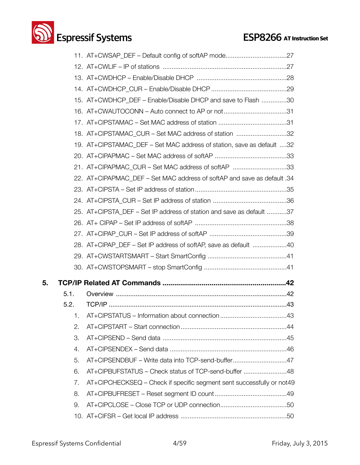## **Solution Systems**<br> **ESP8266** AT Instruction Set

|    |      | 11. AT+CWSAP_DEF - Default config of softAP mode27                      |
|----|------|-------------------------------------------------------------------------|
|    |      |                                                                         |
|    |      |                                                                         |
|    |      |                                                                         |
|    |      | 15. AT+CWDHCP_DEF - Enable/Disable DHCP and save to Flash 30            |
|    |      | 16. AT+CWAUTOCONN - Auto connect to AP or not31                         |
|    |      | 17. AT+CIPSTAMAC - Set MAC address of station 31                        |
|    |      | 18. AT+CIPSTAMAC_CUR - Set MAC address of station 32                    |
|    |      | 19. AT+CIPSTAMAC_DEF – Set MAC address of station, save as default 32   |
|    |      |                                                                         |
|    |      | 21. AT+CIPAPMAC_CUR – Set MAC address of softAP 33                      |
|    |      | 22. AT+CIPAPMAC DEF - Set MAC address of softAP and save as default .34 |
|    |      |                                                                         |
|    |      |                                                                         |
|    |      | 25. AT+CIPSTA DEF - Set IP address of station and save as default 37    |
|    |      |                                                                         |
|    |      |                                                                         |
|    |      | 28. AT+CIPAP_DEF - Set IP address of softAP, save as default 40         |
|    |      |                                                                         |
|    |      |                                                                         |
| 5. |      |                                                                         |
|    | 5.1. |                                                                         |
|    | 5.2. |                                                                         |
|    |      |                                                                         |
|    | 2.   |                                                                         |
|    | 3.   |                                                                         |
|    | 4.   |                                                                         |
|    | 5.   | AT+CIPSENDBUF - Write data into TCP-send-buffer47                       |
|    | 6.   | AT+CIPBUFSTATUS - Check status of TCP-send-buffer 48                    |
|    | 7.   | AT+CIPCHECKSEQ – Check if specific segment sent successfully or not49   |
|    | 8.   |                                                                         |
|    | 9.   |                                                                         |
|    |      |                                                                         |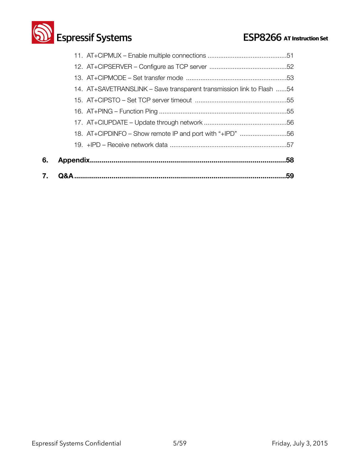

| 7. | 59                                                                    |  |
|----|-----------------------------------------------------------------------|--|
| 6. | .58                                                                   |  |
|    |                                                                       |  |
|    |                                                                       |  |
|    |                                                                       |  |
|    |                                                                       |  |
|    |                                                                       |  |
|    |                                                                       |  |
|    | 14. AT+SAVETRANSLINK – Save transparent transmission link to Flash 54 |  |
|    |                                                                       |  |
|    |                                                                       |  |
|    |                                                                       |  |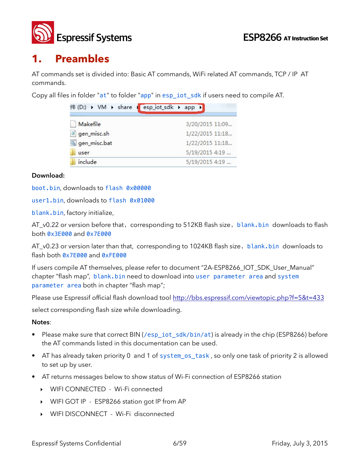

### **1. Preambles**

AT commands set is divided into: Basic AT commands, WiFi related AT commands, TCP / IP AT commands.

Copy all files in folder "at" to folder "app" in esp\_iot\_sdk if users need to compile AT.

| 件 (D:) ▶ VM ▶ share I esp_iot_sdk ▶ app ▶ |                 |
|-------------------------------------------|-----------------|
| Makefile                                  | 3/20/2015 11:09 |
| gen_misc.sh                               | 1/22/2015 11:18 |
| gen_misc.bat                              | 1/22/2015 11:18 |
| user                                      | 5/19/2015 4:19  |
| include                                   | 5/19/2015 4:19  |

#### **Download:**

boot.bin, downloads to flash 0x00000

user1.bin, downloads to flash 0x01000

blank.bin, factory initialize,

AT\_v0.22 or version before that, corresponding to 512KB flash size, blank.bin downloads to flash both 0x3E000 and 0x7E000

AT\_v0.23 or version later than that, corresponding to 1024KB flash size, blank.bin downloads to flash both 0x7E000 and 0xFE000

If users compile AT themselves, please refer to document "2A-ESP8266\_IOT\_SDK\_User\_Manual" chapter "flash map", blank.bin need to download into user parameter area and system parameter area both in chapter "flash map";

Please use Espressif official flash download tool <http://bbs.espressif.com/viewtopic.php?f=5&t=433>

select corresponding flash size while downloading.

#### **Notes**:

- Please make sure that correct BIN (/esp\_iot\_sdk/bin/at) is already in the chip (ESP8266) before the AT commands listed in this documentation can be used.
- AT has already taken priority 0 and 1 of system\_os\_task, so only one task of priority 2 is allowed to set up by user.
- AT returns messages below to show status of Wi-Fi connection of ESP8266 station
	- ‣ WIFI CONNECTED Wi-Fi connected
	- ‣ WIFI GOT IP ESP8266 station got IP from AP
	- ‣ WIFI DISCONNECT Wi-Fi disconnected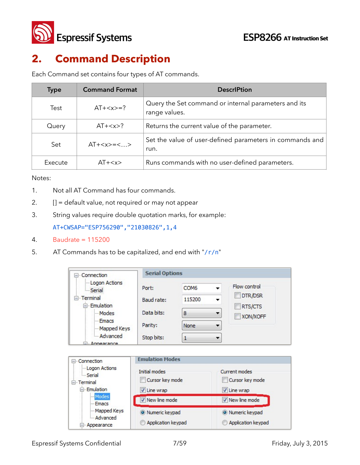

## **2. Command Description**

Each Command set contains four types of AT commands.

| <b>Type</b>     | <b>Command Format</b>                                  | <b>DescriPtion</b>                                                    |
|-----------------|--------------------------------------------------------|-----------------------------------------------------------------------|
| Test            | $AT+=?$                                                | Query the Set command or internal parameters and its<br>range values. |
| Query           | Returns the current value of the parameter.<br>$AT+$ ? |                                                                       |
| $AT+=<>$<br>Set |                                                        | Set the value of user-defined parameters in commands and<br>run.      |
| Execute         | $AT+$                                                  | Runs commands with no user-defined parameters.                        |

Notes:

- 1. Not all AT Command has four commands.
- 2. **[] = default value, not required or may not appear**
- 3. String values require double quotation marks, for example: AT+CWSAP="ESP756290","21030826",1,4
- 4. Baudrate = 115200
- 5. AT Commands has to be capitalized, and end with "/ $r/n$ "

| □ Connection                          | <b>Serial Options</b>  |                  |                    |                    |
|---------------------------------------|------------------------|------------------|--------------------|--------------------|
| -Logon Actions<br><b>Serial</b>       | Port:                  | COM <sub>6</sub> | Flow control       |                    |
| F Terminal<br>Emulation               | Baud rate:             | 115200           |                    | DTR/DSR<br>RTS/CTS |
| Modes                                 | Data bits:             | 8                |                    | XON/XOFF           |
| - Emacs<br>Mapped Keys                | Parity:                | None             | ▼                  |                    |
| Advanced<br>D <sub>u</sub> Annearance | Stop bits:             | 1                | ٠                  |                    |
| Connection<br>$=$ $\cdot$             | <b>Emulation Modes</b> |                  |                    |                    |
| Logon Actions<br>- Serial             | <b>Initial modes</b>   |                  | Current modes      |                    |
| E Terminal                            | Cursor key mode        |                  | Cursor key mode    |                    |
| Emulation<br>Modes                    | V Line wrap            |                  | V Line wrap        |                    |
| - Emacs                               | New line mode          |                  | V New line mode    |                    |
| Mapped Keys<br>- Advanced             | Numeric keypad         |                  | O Numeric keypad   |                    |
| - Appearance                          | Application keypad     |                  | Application keypad |                    |

Espressif Systems Confidential **7/59** The Systems Confidential and the 7/59 The System of Triday, July 3, 2015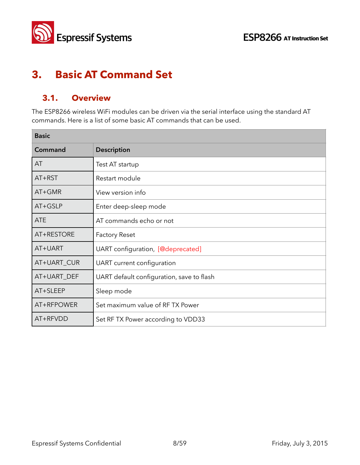



## **3. Basic AT Command Set**

### **3.1. Overview**

The ESP8266 wireless WiFi modules can be driven via the serial interface using the standard AT commands. Here is a list of some basic AT commands that can be used.

| <b>Basic</b> |                                           |
|--------------|-------------------------------------------|
| Command      | <b>Description</b>                        |
| AT           | Test AT startup                           |
| AT+RST       | Restart module                            |
| AT+GMR       | View version info                         |
| AT+GSLP      | Enter deep-sleep mode                     |
| <b>ATE</b>   | AT commands echo or not                   |
| AT+RESTORE   | <b>Factory Reset</b>                      |
| AT+UART      | UART configuration, [@deprecated]         |
| AT+UART_CUR  | UART current configuration                |
| AT+UART_DEF  | UART default configuration, save to flash |
| AT+SLEEP     | Sleep mode                                |
| AT+RFPOWER   | Set maximum value of RFTX Power           |
| AT+RFVDD     | Set RF TX Power according to VDD33        |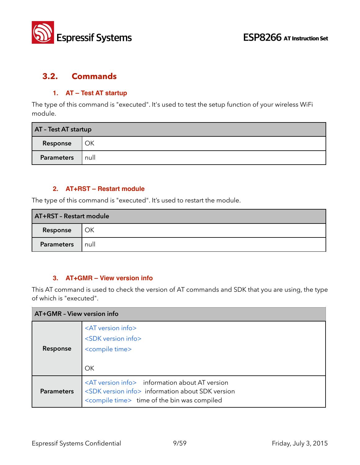

#### **3.2. Commands**

#### **1. AT – Test AT startup**

The type of this command is "executed". It's used to test the setup function of your wireless WiFi module.

| AT - Test AT startup |      |
|----------------------|------|
| Response             | OK   |
| Parameters           | null |

#### **2. AT+RST – Restart module**

The type of this command is "executed". It's used to restart the module.

| AT+RST - Restart module |      |
|-------------------------|------|
| l OK<br>Response        |      |
| <b>Parameters</b>       | null |

#### **3. AT+GMR – View version info**

This AT command is used to check the version of AT commands and SDK that you are using, the type of which is "executed".

| AT+GMR - View version info |                                                                                                                                                                                         |  |
|----------------------------|-----------------------------------------------------------------------------------------------------------------------------------------------------------------------------------------|--|
| Response                   | <at info="" version=""><br/><sdk info="" version=""><br/><compile time=""><br/>OK</compile></sdk></at>                                                                                  |  |
| <b>Parameters</b>          | <at info="" version=""> information about AT version<br/><sdk info="" version=""> information about SDK version<br/><compile time=""> time of the bin was compiled</compile></sdk></at> |  |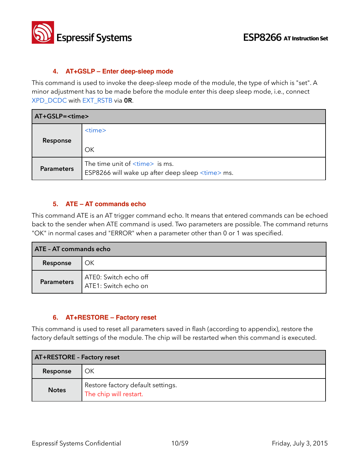

#### **4. AT+GSLP – Enter deep-sleep mode**

This command is used to invoke the deep-sleep mode of the module, the type of which is "set". A minor adjustment has to be made before the module enter this deep sleep mode, i.e., connect XPD\_DCDC with EXT\_RSTB via **0R**.

| AT+GSLP= <time></time> |                                                                                                             |
|------------------------|-------------------------------------------------------------------------------------------------------------|
| Response               | $<$ time $>$<br>OK                                                                                          |
| <b>Parameters</b>      | The time unit of $\langle$ time $\rangle$ is ms.<br>ESP8266 will wake up after deep sleep <time> ms.</time> |

#### **5. ATE – AT commands echo**

This command ATE is an AT trigger command echo. It means that entered commands can be echoed back to the sender when ATE command is used. Two parameters are possible. The command returns "OK" in normal cases and "ERROR" when a parameter other than 0 or 1 was specified.

| <b>ATE - AT commands echo</b> |                                               |
|-------------------------------|-----------------------------------------------|
| Response                      | OK                                            |
| <b>Parameters</b>             | ATE0: Switch echo off<br>ATE1: Switch echo on |

#### **6. AT+RESTORE – Factory reset**

This command is used to reset all parameters saved in flash (according to appendix), restore the factory default settings of the module. The chip will be restarted when this command is executed.

| <b>AT+RESTORE - Factory reset</b> |                                                             |
|-----------------------------------|-------------------------------------------------------------|
| Response                          | ОΚ                                                          |
| <b>Notes</b>                      | Restore factory default settings.<br>The chip will restart. |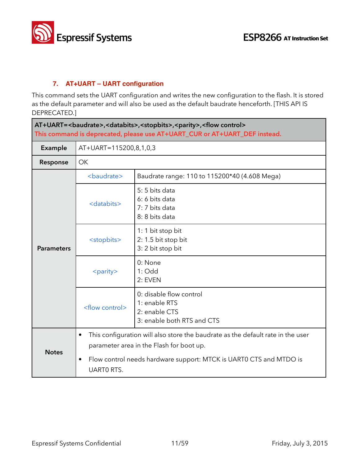

#### **7. AT+UART – UART configuration**

This command sets the UART configuration and writes the new configuration to the flash. It is stored as the default parameter and will also be used as the default baudrate henceforth. [THIS API IS DEPRECATED.]

| AT+UART=<br>AT+UART=<br>AT+UART=<br>AT+UART=<br>AT+UART=<br>AT+UART=<br>AT+UART=<br>AT+UART=<br>AT+UART=<br>AT+UART=<br>AT+UART=<br>AT+UART=<br>AT+UART=<br>AT+UART=<br>AT+UART= <br<br>This command is deprecated, please use AT+UART_CUR or AT+UART_DEF instead.</br<br> |                          |                                                                                                                             |  |
|----------------------------------------------------------------------------------------------------------------------------------------------------------------------------------------------------------------------------------------------------------------------------|--------------------------|-----------------------------------------------------------------------------------------------------------------------------|--|
| Example                                                                                                                                                                                                                                                                    |                          | AT+UART=115200,8,1,0,3                                                                                                      |  |
| Response                                                                                                                                                                                                                                                                   | OK                       |                                                                                                                             |  |
| <b>Parameters</b>                                                                                                                                                                                                                                                          | <baudrate></baudrate>    | Baudrate range: 110 to 115200*40 (4.608 Mega)                                                                               |  |
|                                                                                                                                                                                                                                                                            | <databits></databits>    | 5: 5 bits data<br>6: 6 bits data<br>7: 7 bits data<br>8: 8 bits data                                                        |  |
|                                                                                                                                                                                                                                                                            | <stopbits></stopbits>    | 1: 1 bit stop bit<br>2: 1.5 bit stop bit<br>3: 2 bit stop bit                                                               |  |
|                                                                                                                                                                                                                                                                            | <parity></parity>        | 0: None<br>$1:$ Odd<br>2: EVEN                                                                                              |  |
|                                                                                                                                                                                                                                                                            | <flow control=""></flow> | 0: disable flow control<br>1: enable RTS<br>2: enable CTS<br>3: enable both RTS and CTS                                     |  |
| <b>Notes</b>                                                                                                                                                                                                                                                               | $\bullet$                | This configuration will also store the baudrate as the default rate in the user<br>parameter area in the Flash for boot up. |  |
|                                                                                                                                                                                                                                                                            | ٠<br><b>UARTO RTS.</b>   | Flow control needs hardware support: MTCK is UART0 CTS and MTDO is                                                          |  |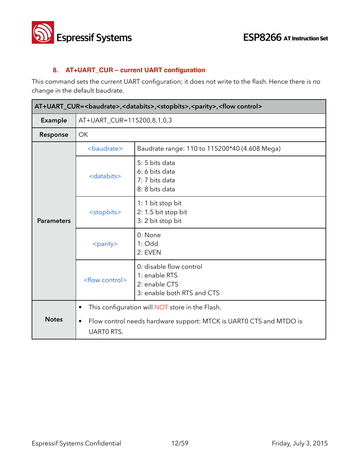

#### **8. AT+UART\_CUR – current UART configuration**

This command sets the current UART configuration; it does not write to the flash. Hence there is no change in the default baudrate.

| AT+UART_CUR= <baudrate>,<databits>,<stopbits>,<parity>,<flow control=""></flow></parity></stopbits></databits></baudrate> |                                             |                                                                                                                       |
|---------------------------------------------------------------------------------------------------------------------------|---------------------------------------------|-----------------------------------------------------------------------------------------------------------------------|
| Example                                                                                                                   | AT+UART_CUR=115200,8,1,0,3                  |                                                                                                                       |
| Response                                                                                                                  | <b>OK</b>                                   |                                                                                                                       |
|                                                                                                                           | <baudrate></baudrate>                       | Baudrate range: 110 to 115200*40 (4.608 Mega)                                                                         |
| <b>Parameters</b>                                                                                                         | <databits></databits>                       | 5:5 bits data<br>6: 6 bits data<br>7: 7 bits data<br>8: 8 bits data                                                   |
|                                                                                                                           | <stopbits></stopbits>                       | 1: 1 bit stop bit<br>2: 1.5 bit stop bit<br>3: 2 bit stop bit                                                         |
|                                                                                                                           | <parity></parity>                           | 0: None<br>$1:$ Odd<br>2: EVEN                                                                                        |
|                                                                                                                           | <flow control=""></flow>                    | 0: disable flow control<br>1: enable RTS<br>2: enable CTS<br>3: enable both RTS and CTS                               |
| <b>Notes</b>                                                                                                              | $\bullet$<br>$\bullet$<br><b>UARTO RTS.</b> | This configuration will NOT store in the Flash.<br>Flow control needs hardware support: MTCK is UART0 CTS and MTDO is |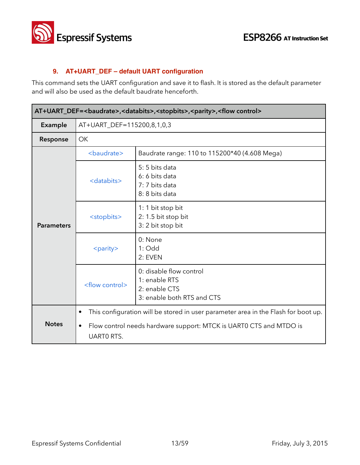

#### **9. AT+UART\_DEF – default UART configuration**

This command sets the UART configuration and save it to flash. It is stored as the default parameter and will also be used as the default baudrate henceforth.

| AT+UART_DEF=<br>baudrate>, <databits>,<stopbits>,<parity>,<flow control=""></flow></parity></stopbits></databits> |                                             |                                                                                                                                                          |
|-------------------------------------------------------------------------------------------------------------------|---------------------------------------------|----------------------------------------------------------------------------------------------------------------------------------------------------------|
| <b>Example</b>                                                                                                    | AT+UART_DEF=115200,8,1,0,3                  |                                                                                                                                                          |
| Response                                                                                                          | <b>OK</b>                                   |                                                                                                                                                          |
|                                                                                                                   | <baudrate></baudrate>                       | Baudrate range: 110 to 115200*40 (4.608 Mega)                                                                                                            |
| <b>Parameters</b>                                                                                                 | <databits></databits>                       | 5:5 bits data<br>6: 6 bits data<br>7: 7 bits data<br>8: 8 bits data                                                                                      |
|                                                                                                                   | <stopbits></stopbits>                       | 1: 1 bit stop bit<br>2: 1.5 bit stop bit<br>3: 2 bit stop bit                                                                                            |
|                                                                                                                   | <parity></parity>                           | 0: None<br>$1:$ Odd<br>2: EVEN                                                                                                                           |
|                                                                                                                   | <flow control=""></flow>                    | 0: disable flow control<br>1: enable RTS<br>2: enable CTS<br>3: enable both RTS and CTS                                                                  |
| <b>Notes</b>                                                                                                      | $\bullet$<br>$\bullet$<br><b>UARTO RTS.</b> | This configuration will be stored in user parameter area in the Flash for boot up.<br>Flow control needs hardware support: MTCK is UART0 CTS and MTDO is |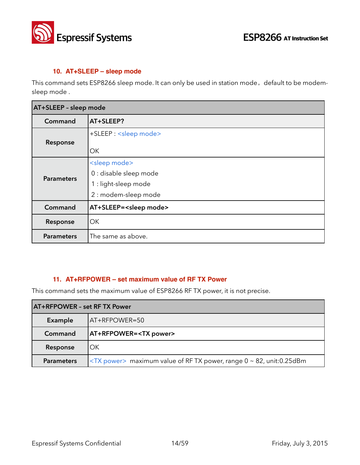

#### **10. AT+SLEEP – sleep mode**

This command sets ESP8266 sleep mode. It can only be used in station mode, default to be modemsleep mode .

| AT+SLEEP - sleep mode |                                                                                                      |
|-----------------------|------------------------------------------------------------------------------------------------------|
| Command               | AT+SLEEP?                                                                                            |
| Response              | +SLEEP: <sleep mode=""><br/>ОK</sleep>                                                               |
| <b>Parameters</b>     | <sleep mode=""><br/>0 : disable sleep mode<br/>1 : light-sleep mode<br/>2 : modem-sleep mode</sleep> |
| Command               | AT+SLEEP= <sleep mode=""></sleep>                                                                    |
| Response              | ОK                                                                                                   |
| <b>Parameters</b>     | The same as above.                                                                                   |

#### **11. AT+RFPOWER – set maximum value of RF TX Power**

This command sets the maximum value of ESP8266 RF TX power, it is not precise.

| <b>AT+RFPOWER - set RF TX Power</b> |                                                                              |
|-------------------------------------|------------------------------------------------------------------------------|
| Example                             | AT+RFPOWER=50                                                                |
| Command                             | <b>AT+RFPOWER=<tx power=""></tx></b>                                         |
| Response                            | OK                                                                           |
| <b>Parameters</b>                   | $\langle$ TX power> maximum value of RF TX power, range 0 ~ 82, unit:0.25dBm |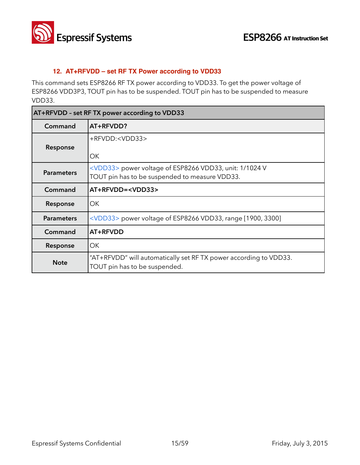

#### **12. AT+RFVDD – set RF TX Power according to VDD33**

This command sets ESP8266 RF TX power according to VDD33. To get the power voltage of ESP8266 VDD3P3, TOUT pin has to be suspended. TOUT pin has to be suspended to measure VDD33.

| AT+RFVDD - set RF TX power according to VDD33 |                                                                                                                   |
|-----------------------------------------------|-------------------------------------------------------------------------------------------------------------------|
| Command                                       | AT+RFVDD?                                                                                                         |
| Response                                      | +RFVDD: <vdd33><br/>ОΚ</vdd33>                                                                                    |
| <b>Parameters</b>                             | <vdd33> power voltage of ESP8266 VDD33, unit: 1/1024 V<br/>TOUT pin has to be suspended to measure VDD33.</vdd33> |
| Command                                       | AT+RFVDD= <vdd33></vdd33>                                                                                         |
| Response                                      | OK.                                                                                                               |
| <b>Parameters</b>                             | $\langle \text{VDD33} \rangle$ power voltage of ESP8266 VDD33, range [1900, 3300]                                 |
| Command                                       | AT+RFVDD                                                                                                          |
| Response                                      | ОK                                                                                                                |
| <b>Note</b>                                   | "AT+RFVDD" will automatically set RFTX power according to VDD33.<br>TOUT pin has to be suspended.                 |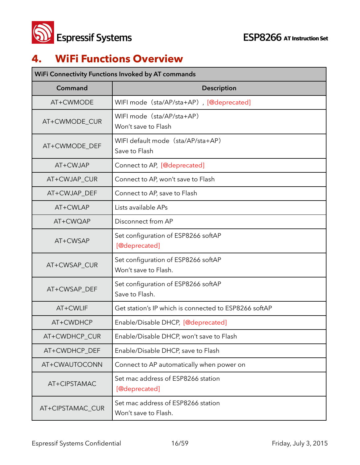

## **4. WiFi Functions Overview**

| WiFi Connectivity Functions Invoked by AT commands |                                                             |  |
|----------------------------------------------------|-------------------------------------------------------------|--|
| Command                                            | <b>Description</b>                                          |  |
| AT+CWMODE                                          | WIFI mode (sta/AP/sta+AP), [@deprecated]                    |  |
| AT+CWMODE_CUR                                      | WIFI mode (sta/AP/sta+AP)<br>Won't save to Flash            |  |
| AT+CWMODE DEF                                      | WIFI default mode (sta/AP/sta+AP)<br>Save to Flash          |  |
| AT+CWJAP                                           | Connect to AP, [@deprecated]                                |  |
| AT+CWJAP_CUR                                       | Connect to AP, won't save to Flash                          |  |
| AT+CWJAP_DEF                                       | Connect to AP, save to Flash                                |  |
| AT+CWLAP                                           | Lists available APs                                         |  |
| AT+CWQAP                                           | Disconnect from AP                                          |  |
| AT+CWSAP                                           | Set configuration of ESP8266 softAP<br>[@deprecated]        |  |
| AT+CWSAP_CUR                                       | Set configuration of ESP8266 softAP<br>Won't save to Flash. |  |
| AT+CWSAP_DEF                                       | Set configuration of ESP8266 softAP<br>Save to Flash.       |  |
| AT+CWLIF                                           | Get station's IP which is connected to ESP8266 softAP       |  |
| AT+CWDHCP                                          | Enable/Disable DHCP, [@deprecated]                          |  |
| AT+CWDHCP_CUR                                      | Enable/Disable DHCP, won't save to Flash                    |  |
| AT+CWDHCP_DEF                                      | Enable/Disable DHCP, save to Flash                          |  |
| AT+CWAUTOCONN                                      | Connect to AP automatically when power on                   |  |
| AT+CIPSTAMAC                                       | Set mac address of ESP8266 station<br>[@deprecated]         |  |
| AT+CIPSTAMAC_CUR                                   | Set mac address of ESP8266 station<br>Won't save to Flash.  |  |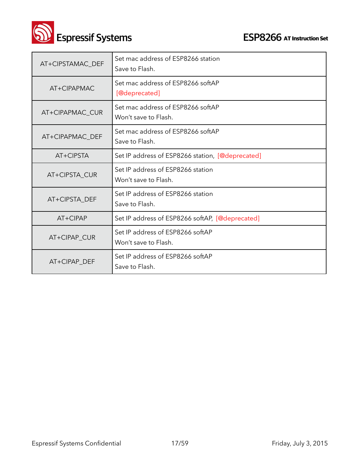

**Solution Set ESP8266** AT Instruction Set

| AT+CIPSTAMAC DEF | Set mac address of ESP8266 station<br>Save to Flash.      |
|------------------|-----------------------------------------------------------|
| AT+CIPAPMAC      | Set mac address of ESP8266 softAP<br>[@deprecated]        |
| AT+CIPAPMAC_CUR  | Set mac address of ESP8266 softAP<br>Won't save to Flash. |
| AT+CIPAPMAC_DEF  | Set mac address of ESP8266 softAP<br>Save to Flash.       |
| AT+CIPSTA        | Set IP address of ESP8266 station, [@deprecated]          |
| AT+CIPSTA_CUR    | Set IP address of ESP8266 station<br>Won't save to Flash. |
| AT+CIPSTA_DEF    | Set IP address of ESP8266 station<br>Save to Flash.       |
| AT+CIPAP         | Set IP address of ESP8266 softAP, [@deprecated]           |
| AT+CIPAP_CUR     | Set IP address of ESP8266 softAP<br>Won't save to Flash.  |
| AT+CIPAP DEF     | Set IP address of ESP8266 softAP<br>Save to Flash.        |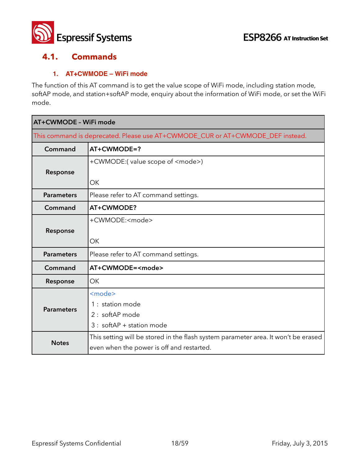

#### **4.1. Commands**

#### **1. AT+CWMODE – WiFi mode**

The function of this AT command is to get the value scope of WiFi mode, including station mode, softAP mode, and station+softAP mode, enquiry about the information of WiFi mode, or set the WiFi mode.

| AT+CWMODE - WiFi mode                                                          |                                                                                    |
|--------------------------------------------------------------------------------|------------------------------------------------------------------------------------|
| This command is deprecated. Please use AT+CWMODE_CUR or AT+CWMODE_DEF instead. |                                                                                    |
| Command                                                                        | AT+CWMODE=?                                                                        |
|                                                                                | +CWMODE:(value scope of <mode>)</mode>                                             |
| Response                                                                       |                                                                                    |
|                                                                                | OK                                                                                 |
| <b>Parameters</b>                                                              | Please refer to AT command settings.                                               |
| Command                                                                        | AT+CWMODE?                                                                         |
|                                                                                | +CWMODE: <mode></mode>                                                             |
| Response                                                                       |                                                                                    |
|                                                                                | OK                                                                                 |
| <b>Parameters</b>                                                              | Please refer to AT command settings.                                               |
| Command                                                                        | AT+CWMODE= <mode></mode>                                                           |
| Response                                                                       | OK                                                                                 |
|                                                                                | <mode></mode>                                                                      |
| <b>Parameters</b>                                                              | 1 : station mode                                                                   |
|                                                                                | 2 : softAP mode                                                                    |
|                                                                                | $3:$ softAP + station mode                                                         |
|                                                                                | This setting will be stored in the flash system parameter area. It won't be erased |
| <b>Notes</b>                                                                   | even when the power is off and restarted.                                          |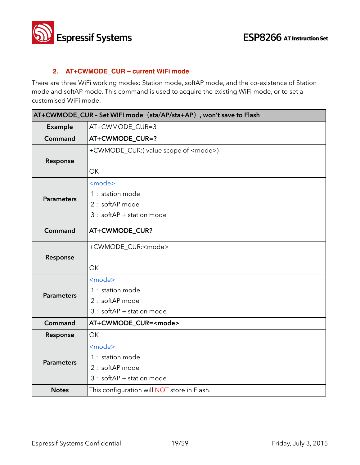

#### **2. AT+CWMODE\_CUR – current WiFi mode**

There are three WiFi working modes: Station mode, softAP mode, and the co-existence of Station mode and softAP mode. This command is used to acquire the existing WiFi mode, or to set a customised WiFi mode.

| AT+CWMODE_CUR - Set WIFI mode (sta/AP/sta+AP), won't save to Flash |                                                                                      |
|--------------------------------------------------------------------|--------------------------------------------------------------------------------------|
| Example                                                            | AT+CWMODE_CUR=3                                                                      |
| Command                                                            | AT+CWMODE_CUR=?                                                                      |
| Response                                                           | +CWMODE_CUR:(value scope of <mode>)<br/>OK</mode>                                    |
| <b>Parameters</b>                                                  | <mode><br/>1 : station mode<br/>2 : softAP mode<br/>3 : softAP + station mode</mode> |
| Command                                                            | AT+CWMODE_CUR?                                                                       |
| Response                                                           | +CWMODE_CUR: <mode><br/><b>OK</b></mode>                                             |
| <b>Parameters</b>                                                  | <mode><br/>1 : station mode<br/>2 : softAP mode<br/>3 : softAP + station mode</mode> |
| Command                                                            | AT+CWMODE_CUR= <mode></mode>                                                         |
| Response                                                           | <b>OK</b>                                                                            |
| <b>Parameters</b>                                                  | <mode><br/>1 : station mode<br/>2 : softAP mode<br/>3 : softAP + station mode</mode> |
| <b>Notes</b>                                                       | This configuration will NOT store in Flash.                                          |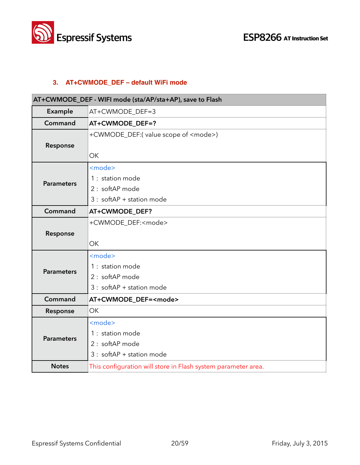

#### **3. AT+CWMODE\_DEF – default WiFi mode**

| AT+CWMODE_DEF - WIFI mode (sta/AP/sta+AP), save to Flash |                                                                                                  |
|----------------------------------------------------------|--------------------------------------------------------------------------------------------------|
| Example                                                  | AT+CWMODE_DEF=3                                                                                  |
| Command                                                  | AT+CWMODE_DEF=?                                                                                  |
| Response                                                 | +CWMODE_DEF:(value scope of <mode>)<br/><b>OK</b></mode>                                         |
| <b>Parameters</b>                                        | <mode><br/>1 : station mode<br/>2 : softAP mode<br/><math>3:</math> softAP + station mode</mode> |
| Command                                                  | AT+CWMODE_DEF?                                                                                   |
| Response                                                 | +CWMODE_DEF: <mode><br/><b>OK</b></mode>                                                         |
| <b>Parameters</b>                                        | <mode><br/>1 : station mode<br/>2 : softAP mode<br/><math>3:</math> softAP + station mode</mode> |
| Command                                                  | AT+CWMODE_DEF= <mode></mode>                                                                     |
| Response                                                 | OK                                                                                               |
| <b>Parameters</b>                                        | <mode><br/>1 : station mode<br/>2 : softAP mode<br/><math>3:</math> softAP + station mode</mode> |
| <b>Notes</b>                                             | This configuration will store in Flash system parameter area.                                    |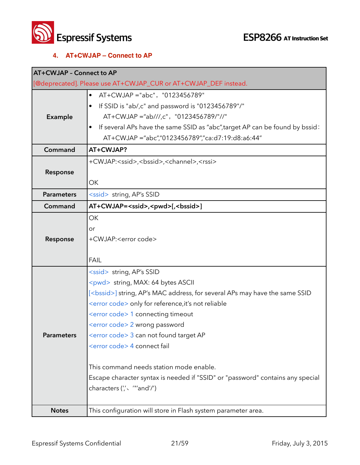

#### **4. AT+CWJAP – Connect to AP**

| <b>AT+CWJAP - Connect to AP</b> |                                                                                                                                                                                                                                                                                                                                                                                                                                                                                                                                                                                                 |
|---------------------------------|-------------------------------------------------------------------------------------------------------------------------------------------------------------------------------------------------------------------------------------------------------------------------------------------------------------------------------------------------------------------------------------------------------------------------------------------------------------------------------------------------------------------------------------------------------------------------------------------------|
|                                 | [@deprecated]. Please use AT+CWJAP_CUR or AT+CWJAP_DEF instead.                                                                                                                                                                                                                                                                                                                                                                                                                                                                                                                                 |
| Example                         | AT+CWJAP ="abc", "0123456789"<br>$\bullet$<br>If SSID is "ab/,c" and password is "0123456789"/"<br>AT+CWJAP ="ab///,c", "0123456789/"//"<br>If several APs have the same SSID as "abc", target AP can be found by bssid:<br>AT+CWJAP ="abc","0123456789","ca:d7:19:d8:a6:44"                                                                                                                                                                                                                                                                                                                    |
| Command                         | AT+CWJAP?                                                                                                                                                                                                                                                                                                                                                                                                                                                                                                                                                                                       |
| Response                        | +CWJAP: <ssid>,<bssid>,<channel>,<rssi><br/>ОK</rssi></channel></bssid></ssid>                                                                                                                                                                                                                                                                                                                                                                                                                                                                                                                  |
| <b>Parameters</b>               | <ssid> string, AP's SSID</ssid>                                                                                                                                                                                                                                                                                                                                                                                                                                                                                                                                                                 |
| Command                         | AT+CWJAP= <ssid>,<pwd>[,<bssid>]</bssid></pwd></ssid>                                                                                                                                                                                                                                                                                                                                                                                                                                                                                                                                           |
| Response                        | OK<br>or<br>+CWJAP: <error code=""><br/><b>FAIL</b></error>                                                                                                                                                                                                                                                                                                                                                                                                                                                                                                                                     |
| <b>Parameters</b>               | <ssid> string, AP's SSID<br/><pwd> string, MAX: 64 bytes ASCII<br/>[<bssid>] string, AP's MAC address, for several APs may have the same SSID<br/><error code=""> only for reference, it's not reliable<br/><error code=""> 1 connecting timeout<br/><error code=""> 2 wrong password<br/><error code=""> 3 can not found target AP<br/><error code=""> 4 connect fail<br/>This command needs station mode enable.<br/>Escape character syntax is needed if "SSID" or "password" contains any special<br/>characters (", ""and'/")</error></error></error></error></error></bssid></pwd></ssid> |
| <b>Notes</b>                    | This configuration will store in Flash system parameter area.                                                                                                                                                                                                                                                                                                                                                                                                                                                                                                                                   |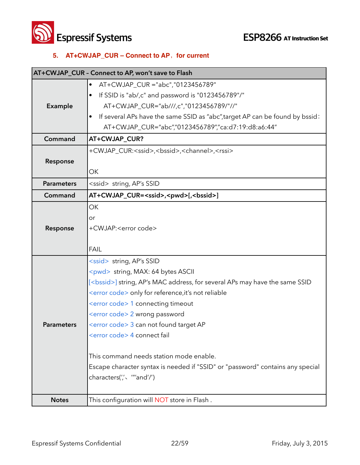**ESP8266** AT Instruction Set

#### **5. AT+CWJAP\_CUR – Connect to AP**,**for current**

|                   | AT+CWJAP_CUR - Connect to AP, won't save to Flash                                   |
|-------------------|-------------------------------------------------------------------------------------|
|                   | AT+CWJAP_CUR ="abc","0123456789"                                                    |
|                   | If SSID is "ab/,c" and password is "0123456789"/"                                   |
| Example           | AT+CWJAP_CUR="ab///,c","0123456789/"//"                                             |
|                   | If several APs have the same SSID as "abc", target AP can be found by bssid:        |
|                   | AT+CWJAP_CUR="abc","0123456789","ca:d7:19:d8:a6:44"                                 |
| Command           | AT+CWJAP_CUR?                                                                       |
|                   | +CWJAP_CUR: <ssid>,<bssid>,<channel>,<rssi></rssi></channel></bssid></ssid>         |
| Response          |                                                                                     |
|                   | ОK                                                                                  |
| <b>Parameters</b> | <ssid> string, AP's SSID</ssid>                                                     |
| Command           | AT+CWJAP_CUR= <ssid>,<pwd>[,<bssid>]</bssid></pwd></ssid>                           |
|                   | <b>OK</b>                                                                           |
|                   | or                                                                                  |
| Response          | +CWJAP: <error code=""></error>                                                     |
|                   |                                                                                     |
|                   | <b>FAIL</b>                                                                         |
|                   | <ssid> string, AP's SSID</ssid>                                                     |
|                   | <pwd> string, MAX: 64 bytes ASCII</pwd>                                             |
|                   | [ <bssid>] string, AP's MAC address, for several APs may have the same SSID</bssid> |
|                   | <error code=""> only for reference, it's not reliable</error>                       |
|                   | <error code=""> 1 connecting timeout</error>                                        |
|                   | <error code=""> 2 wrong password</error>                                            |
| <b>Parameters</b> | <error code=""> 3 can not found target AP</error>                                   |
|                   | <error code=""> 4 connect fail</error>                                              |
|                   | This command needs station mode enable.                                             |
|                   | Escape character syntax is needed if "SSID" or "password" contains any special      |
|                   | characters(",< ""and'/")                                                            |
|                   |                                                                                     |
| <b>Notes</b>      | This configuration will NOT store in Flash.                                         |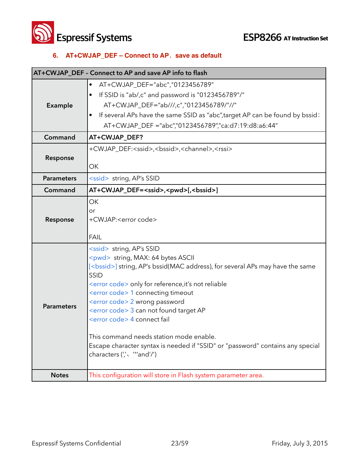**ESP8266** AT Instruction Set

#### **6. AT+CWJAP\_DEF – Connect to AP**,**save as default**

|                   | AT+CWJAP_DEF - Connect to AP and save AP info to flash                                                                                                                                                                                                                                                                                                                                                                                                                                                                                                                                                    |
|-------------------|-----------------------------------------------------------------------------------------------------------------------------------------------------------------------------------------------------------------------------------------------------------------------------------------------------------------------------------------------------------------------------------------------------------------------------------------------------------------------------------------------------------------------------------------------------------------------------------------------------------|
| Example           | AT+CWJAP_DEF="abc","0123456789"<br>$\bullet$<br>If SSID is "ab/,c" and password is "0123456789"/"<br>AT+CWJAP_DEF="ab///,c","0123456789/"//"<br>If several APs have the same SSID as "abc", target AP can be found by bssid:<br>AT+CWJAP_DEF ="abc","0123456789","ca:d7:19:d8:a6:44"                                                                                                                                                                                                                                                                                                                      |
| Command           | AT+CWJAP_DEF?                                                                                                                                                                                                                                                                                                                                                                                                                                                                                                                                                                                             |
| Response          | +CWJAP_DEF: <ssid>,<bssid>,<channel>,<rssi><br/>OK</rssi></channel></bssid></ssid>                                                                                                                                                                                                                                                                                                                                                                                                                                                                                                                        |
| <b>Parameters</b> | <ssid> string, AP's SSID</ssid>                                                                                                                                                                                                                                                                                                                                                                                                                                                                                                                                                                           |
| Command           | AT+CWJAP_DEF= <ssid>,<pwd>[,<bssid>]</bssid></pwd></ssid>                                                                                                                                                                                                                                                                                                                                                                                                                                                                                                                                                 |
| Response          | OK<br>or<br>+CWJAP: <error code=""><br/><b>FAIL</b></error>                                                                                                                                                                                                                                                                                                                                                                                                                                                                                                                                               |
| <b>Parameters</b> | <ssid> string, AP's SSID<br/><pwd> string, MAX: 64 bytes ASCII<br/>[<bssid>] string, AP's bssid(MAC address), for several APs may have the same<br/>SSID<br/><error code=""> only for reference, it's not reliable<br/><error code=""> 1 connecting timeout<br/><error code=""> 2 wrong password<br/><error code=""> 3 can not found target AP<br/><error code=""> 4 connect fail<br/>This command needs station mode enable.<br/>Escape character syntax is needed if "SSID" or "password" contains any special<br/>characters (", "and'/")</error></error></error></error></error></bssid></pwd></ssid> |
| <b>Notes</b>      | This configuration will store in Flash system parameter area.                                                                                                                                                                                                                                                                                                                                                                                                                                                                                                                                             |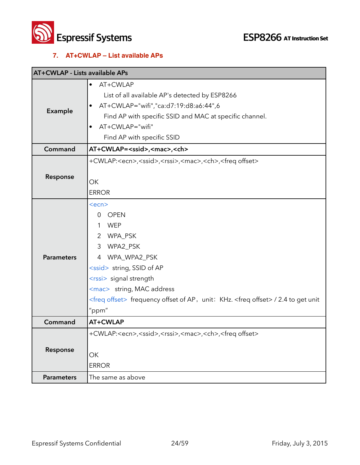

#### **7. AT+CWLAP – List available APs**

| <b>AT+CWLAP - Lists available APs</b> |                                                                                                                                                                                                                                                                                                                                                        |
|---------------------------------------|--------------------------------------------------------------------------------------------------------------------------------------------------------------------------------------------------------------------------------------------------------------------------------------------------------------------------------------------------------|
| Example                               | AT+CWLAP<br>$\bullet$<br>List of all available AP's detected by ESP8266<br>AT+CWLAP="wifi","ca:d7:19:d8:a6:44",6<br>Find AP with specific SSID and MAC at specific channel.<br>AT+CWLAP="wifi"<br>Find AP with specific SSID                                                                                                                           |
| Command                               | AT+CWLAP= <ssid>,<mac>,<ch></ch></mac></ssid>                                                                                                                                                                                                                                                                                                          |
| Response                              | +CWLAP: <ecn>,<ssid>,<rssi>,<mac>,<ch>,<freq offset=""><br/>OK<br/><b>ERROR</b></freq></ch></mac></rssi></ssid></ecn>                                                                                                                                                                                                                                  |
| <b>Parameters</b>                     | $<$ ecn $>$<br><b>OPEN</b><br>$\Omega$<br><b>WEP</b><br>1<br>$\overline{2}$<br>WPA_PSK<br>WPA2_PSK<br>3<br>4 WPA_WPA2_PSK<br><ssid> string, SSID of AP<br/><rssi> signal strength<br/><mac> string, MAC address<br/><freq offset=""> frequency offset of AP, unit: KHz. <freq offset=""> / 2.4 to get unit<br/>"ppm"</freq></freq></mac></rssi></ssid> |
| Command                               | AT+CWLAP                                                                                                                                                                                                                                                                                                                                               |
| Response                              | +CWLAP: <ecn>,<ssid>,<rssi>,<mac>,<ch>,<freq offset=""><br/>ОК<br/><b>ERROR</b></freq></ch></mac></rssi></ssid></ecn>                                                                                                                                                                                                                                  |
| <b>Parameters</b>                     | The same as above                                                                                                                                                                                                                                                                                                                                      |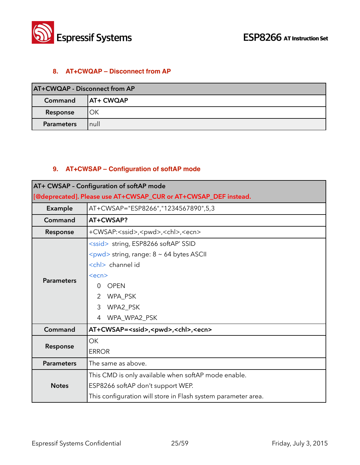

#### **8. AT+CWQAP – Disconnect from AP**

| <b>AT+CWQAP - Disconnect from AP</b> |                  |
|--------------------------------------|------------------|
| Command                              | <b>AT+ CWQAP</b> |
| Response                             | ОΚ               |
| <b>Parameters</b>                    | null             |

#### **9. AT+CWSAP – Configuration of softAP mode**

|                   | AT+ CWSAP - Configuration of softAP mode                                                                                                                                                           |
|-------------------|----------------------------------------------------------------------------------------------------------------------------------------------------------------------------------------------------|
|                   | [@deprecated]. Please use AT+CWSAP_CUR or AT+CWSAP_DEF instead.                                                                                                                                    |
| <b>Example</b>    | AT+CWSAP="ESP8266","1234567890",5,3                                                                                                                                                                |
| Command           | AT+CWSAP?                                                                                                                                                                                          |
| Response          | +CWSAP: <ssid>,<pwd>,<chl>,<ecn></ecn></chl></pwd></ssid>                                                                                                                                          |
| <b>Parameters</b> | <ssid> string, ESP8266 softAP' SSID</ssid>                                                                                                                                                         |
|                   | <pwd> string, range: 8 ~ 64 bytes ASCII<br/><chl> channel id<br/><ecn><br/><b>OPEN</b><br/>0<br/>WPA_PSK<br/><math>\overline{2}</math><br/>WPA2_PSK<br/>3<br/>WPA_WPA2_PSK<br/>4</ecn></chl></pwd> |
| Command           | AT+CWSAP= <ssid>,<pwd>,<chl>,<ecn></ecn></chl></pwd></ssid>                                                                                                                                        |
| Response          | OK<br><b>ERROR</b>                                                                                                                                                                                 |
| <b>Parameters</b> | The same as above.                                                                                                                                                                                 |
| <b>Notes</b>      | This CMD is only available when softAP mode enable.<br>ESP8266 softAP don't support WEP.<br>This configuration will store in Flash system parameter area.                                          |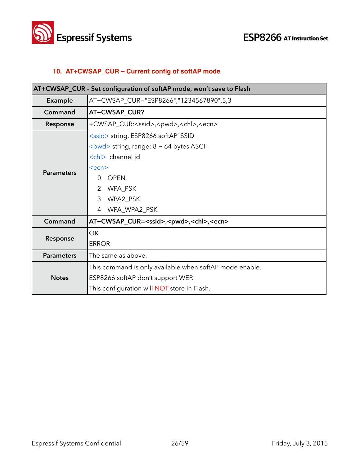

#### **10. AT+CWSAP\_CUR – Current config of softAP mode**

| AT+CWSAP_CUR - Set configuration of softAP mode, won't save to Flash |                                                                     |
|----------------------------------------------------------------------|---------------------------------------------------------------------|
| Example                                                              | AT+CWSAP_CUR="ESP8266","1234567890",5,3                             |
| Command                                                              | AT+CWSAP_CUR?                                                       |
| Response                                                             | +CWSAP_CUR: <ssid>,<pwd>,<chl>,<ecn></ecn></chl></pwd></ssid>       |
|                                                                      | <ssid> string, ESP8266 softAP' SSID</ssid>                          |
|                                                                      | $\langle \text{pwd} \rangle$ string, range: 8 $\sim$ 64 bytes ASCII |
|                                                                      | <chl> channel id</chl>                                              |
|                                                                      | $<$ ecn $>$                                                         |
| <b>Parameters</b>                                                    | <b>OPEN</b><br>0                                                    |
|                                                                      | WPA_PSK<br>2                                                        |
|                                                                      | 3<br>WPA2_PSK                                                       |
|                                                                      | WPA_WPA2_PSK<br>4                                                   |
| Command                                                              | AT+CWSAP_CUR= <ssid>,<pwd>,<chl>,<ecn></ecn></chl></pwd></ssid>     |
|                                                                      | OK                                                                  |
| Response                                                             | <b>ERROR</b>                                                        |
| <b>Parameters</b>                                                    | The same as above.                                                  |
| <b>Notes</b>                                                         | This command is only available when softAP mode enable.             |
|                                                                      | ESP8266 softAP don't support WEP.                                   |
|                                                                      | This configuration will NOT store in Flash.                         |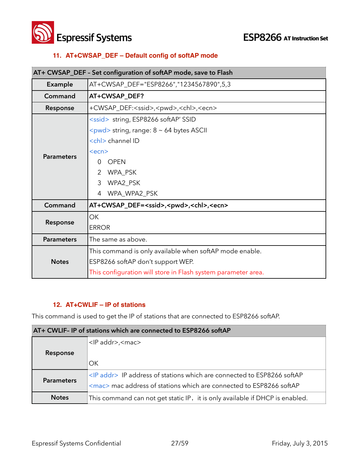



#### **11. AT+CWSAP\_DEF – Default config of softAP mode**

| AT+ CWSAP_DEF - Set configuration of softAP mode, save to Flash |                                                                                                                                                                                                                                                                             |
|-----------------------------------------------------------------|-----------------------------------------------------------------------------------------------------------------------------------------------------------------------------------------------------------------------------------------------------------------------------|
| <b>Example</b>                                                  | AT+CWSAP_DEF="ESP8266","1234567890",5,3                                                                                                                                                                                                                                     |
| Command                                                         | AT+CWSAP_DEF?                                                                                                                                                                                                                                                               |
| Response                                                        | +CWSAP_DEF: <ssid>,<pwd>,<chl>,<ecn></ecn></chl></pwd></ssid>                                                                                                                                                                                                               |
| <b>Parameters</b>                                               | <ssid> string, ESP8266 softAP' SSID<br/><pwd> string, range: 8 ~ 64 bytes ASCII<br/><chl> channel ID<br/><math>&lt;</math>ecn<math>&gt;</math><br/><b>OPEN</b><br/>0<br/>WPA_PSK<br/><math>\overline{2}</math><br/>3<br/>WPA2_PSK<br/>WPA_WPA2_PSK<br/>4</chl></pwd></ssid> |
| Command                                                         | AT+CWSAP_DEF= <ssid>,<pwd>,<chl>,<ecn></ecn></chl></pwd></ssid>                                                                                                                                                                                                             |
| Response                                                        | <b>OK</b><br><b>ERROR</b>                                                                                                                                                                                                                                                   |
| <b>Parameters</b>                                               | The same as above.                                                                                                                                                                                                                                                          |
| <b>Notes</b>                                                    | This command is only available when softAP mode enable.<br>ESP8266 softAP don't support WEP.<br>This configuration will store in Flash system parameter area.                                                                                                               |

#### **12. AT+CWLIF – IP of stations**

This command is used to get the IP of stations that are connected to ESP8266 softAP.

| AT+ CWLIF- IP of stations which are connected to ESP8266 softAP |                                                                                |
|-----------------------------------------------------------------|--------------------------------------------------------------------------------|
|                                                                 | <ip addr="">,<mac></mac></ip>                                                  |
| Response                                                        |                                                                                |
|                                                                 | OK                                                                             |
| <b>Parameters</b>                                               | <ip addr=""> IP address of stations which are connected to ESP8266 softAP</ip> |
|                                                                 | <mac> mac address of stations which are connected to ESP8266 softAP</mac>      |
| <b>Notes</b>                                                    | This command can not get static IP, it is only available if DHCP is enabled.   |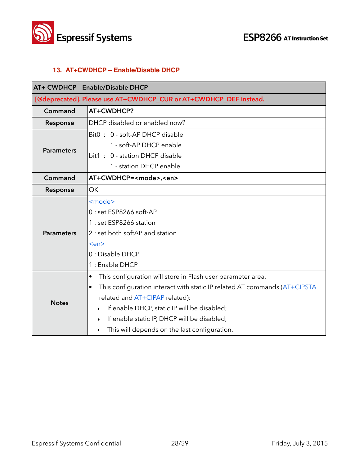

#### **13. AT+CWDHCP – Enable/Disable DHCP**

| AT+ CWDHCP - Enable/Disable DHCP |                                                                                        |  |
|----------------------------------|----------------------------------------------------------------------------------------|--|
|                                  | [@deprecated]. Please use AT+CWDHCP_CUR or AT+CWDHCP_DEF instead.                      |  |
| Command                          | AT+CWDHCP?                                                                             |  |
| Response                         | DHCP disabled or enabled now?                                                          |  |
|                                  | Bit0: 0 - soft-AP DHCP disable                                                         |  |
| <b>Parameters</b>                | 1 - soft-AP DHCP enable                                                                |  |
|                                  | bit1: 0 - station DHCP disable                                                         |  |
|                                  | 1 - station DHCP enable                                                                |  |
| Command                          | AT+CWDHCP= <mode>,<en></en></mode>                                                     |  |
| Response                         | <b>OK</b>                                                                              |  |
|                                  | <mode></mode>                                                                          |  |
|                                  | $0:$ set ESP8266 soft-AP                                                               |  |
|                                  | 1 : set ESP8266 station                                                                |  |
| <b>Parameters</b>                | 2 : set both softAP and station                                                        |  |
|                                  | <en></en>                                                                              |  |
|                                  | 0 : Disable DHCP                                                                       |  |
|                                  | 1 : Enable DHCP                                                                        |  |
|                                  | This configuration will store in Flash user parameter area.<br>$\bullet$               |  |
|                                  | This configuration interact with static IP related AT commands (AT+CIPSTA<br>$\bullet$ |  |
| <b>Notes</b>                     | related and AT+CIPAP related):                                                         |  |
|                                  | If enable DHCP, static IP will be disabled;<br>▶                                       |  |
|                                  | If enable static IP, DHCP will be disabled;<br>▶                                       |  |
|                                  | This will depends on the last configuration.<br>▶                                      |  |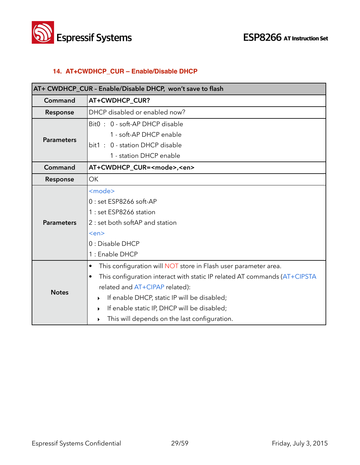



#### **14. AT+CWDHCP\_CUR – Enable/Disable DHCP**

| AT+ CWDHCP_CUR - Enable/Disable DHCP, won't save to flash |                                                                                        |
|-----------------------------------------------------------|----------------------------------------------------------------------------------------|
| Command                                                   | AT+CWDHCP_CUR?                                                                         |
| Response                                                  | DHCP disabled or enabled now?                                                          |
|                                                           | Bit0: 0 - soft-AP DHCP disable                                                         |
| <b>Parameters</b>                                         | 1 - soft-AP DHCP enable                                                                |
|                                                           | bit1: 0 - station DHCP disable                                                         |
|                                                           | 1 - station DHCP enable                                                                |
| Command                                                   | AT+CWDHCP_CUR= <mode>,<en></en></mode>                                                 |
| Response                                                  | OK                                                                                     |
|                                                           | <mode></mode>                                                                          |
|                                                           | 0 : set ESP8266 soft-AP                                                                |
|                                                           | 1 : set ESP8266 station                                                                |
| <b>Parameters</b>                                         | 2 : set both softAP and station                                                        |
|                                                           | <en></en>                                                                              |
|                                                           | 0 : Disable DHCP                                                                       |
|                                                           | 1 : Enable DHCP                                                                        |
|                                                           | This configuration will NOT store in Flash user parameter area.<br>$\bullet$           |
|                                                           | This configuration interact with static IP related AT commands (AT+CIPSTA<br>$\bullet$ |
| <b>Notes</b>                                              | related and AT+CIPAP related):                                                         |
|                                                           | If enable DHCP, static IP will be disabled;<br>▶                                       |
|                                                           | If enable static IP, DHCP will be disabled;<br>▶                                       |
|                                                           | This will depends on the last configuration.<br>▶                                      |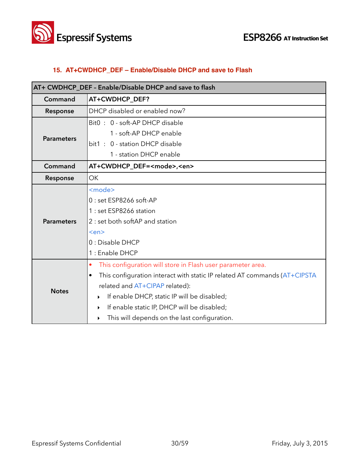



#### **15. AT+CWDHCP\_DEF – Enable/Disable DHCP and save to Flash**

| AT+ CWDHCP_DEF - Enable/Disable DHCP and save to flash |                                                                           |
|--------------------------------------------------------|---------------------------------------------------------------------------|
| Command                                                | AT+CWDHCP_DEF?                                                            |
| Response                                               | DHCP disabled or enabled now?                                             |
|                                                        | Bit0: 0 - soft-AP DHCP disable                                            |
| <b>Parameters</b>                                      | 1 - soft-AP DHCP enable                                                   |
|                                                        | bit1: 0 - station DHCP disable                                            |
|                                                        | 1 - station DHCP enable                                                   |
| Command                                                | AT+CWDHCP_DEF= <mode>,<en></en></mode>                                    |
| Response                                               | <b>OK</b>                                                                 |
|                                                        | <mode></mode>                                                             |
|                                                        | 0 : set ESP8266 soft-AP                                                   |
|                                                        | 1 : set ESP8266 station                                                   |
| <b>Parameters</b>                                      | 2 : set both softAP and station                                           |
|                                                        | <en></en>                                                                 |
|                                                        | 0 : Disable DHCP                                                          |
|                                                        | 1 : Enable DHCP                                                           |
|                                                        | This configuration will store in Flash user parameter area.<br>$\bullet$  |
|                                                        | This configuration interact with static IP related AT commands (AT+CIPSTA |
| <b>Notes</b>                                           | related and AT+CIPAP related):                                            |
|                                                        | If enable DHCP, static IP will be disabled;<br>▶                          |
|                                                        | If enable static IP, DHCP will be disabled;<br>$\blacktriangleright$      |
|                                                        | This will depends on the last configuration.<br>$\blacktriangleright$     |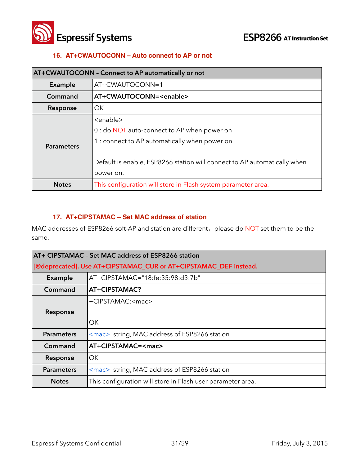

#### **16. AT+CWAUTOCONN – Auto connect to AP or not**

| AT+CWAUTOCONN - Connect to AP automatically or not |                                                                                                                                                                                                                |
|----------------------------------------------------|----------------------------------------------------------------------------------------------------------------------------------------------------------------------------------------------------------------|
| Example                                            | AT+CWAUTOCONN=1                                                                                                                                                                                                |
| Command                                            | AT+CWAUTOCONN= <enable></enable>                                                                                                                                                                               |
| Response                                           | OK.                                                                                                                                                                                                            |
| <b>Parameters</b>                                  | <enable><br/>0 : do NOT auto-connect to AP when power on<br/>1 : connect to AP automatically when power on<br/>Default is enable, ESP8266 station will connect to AP automatically when<br/>power on.</enable> |
| <b>Notes</b>                                       | This configuration will store in Flash system parameter area.                                                                                                                                                  |

#### **17. AT+CIPSTAMAC – Set MAC address of station**

| AT+ CIPSTAMAC - Set MAC address of ESP8266 station               |                                                             |
|------------------------------------------------------------------|-------------------------------------------------------------|
| [@deprecated]. Use AT+CIPSTAMAC_CUR or AT+CIPSTAMAC_DEF instead. |                                                             |
| <b>Example</b>                                                   | AT+CIPSTAMAC="18:fe:35:98:d3:7b"                            |
| Command                                                          | AT+CIPSTAMAC?                                               |
|                                                                  | +CIPSTAMAC: <mac></mac>                                     |
| Response                                                         |                                                             |
|                                                                  | ОK                                                          |
| <b>Parameters</b>                                                | <mac> string, MAC address of ESP8266 station</mac>          |
| Command                                                          | AT+CIPSTAMAC= <mac></mac>                                   |
| Response                                                         | ОK                                                          |
| <b>Parameters</b>                                                | <mac> string, MAC address of ESP8266 station</mac>          |
| <b>Notes</b>                                                     | This configuration will store in Flash user parameter area. |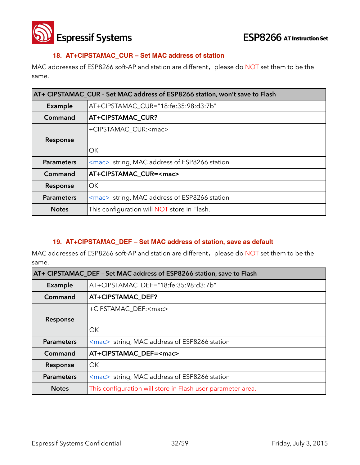

#### **18. AT+CIPSTAMAC\_CUR – Set MAC address of station**

MAC addresses of ESP8266 soft-AP and station are different, please do NOT set them to be the same.

| AT+ CIPSTAMAC CUR - Set MAC address of ESP8266 station, won't save to Flash |                                                    |
|-----------------------------------------------------------------------------|----------------------------------------------------|
| Example                                                                     | AT+CIPSTAMAC_CUR="18:fe:35:98:d3:7b"               |
| Command                                                                     | AT+CIPSTAMAC_CUR?                                  |
|                                                                             | +CIPSTAMAC_CUR: <mac></mac>                        |
| Response                                                                    |                                                    |
|                                                                             | OK.                                                |
| <b>Parameters</b>                                                           | <mac> string, MAC address of ESP8266 station</mac> |
| Command                                                                     | AT+CIPSTAMAC_CUR= <mac></mac>                      |
| Response                                                                    | OK.                                                |
| <b>Parameters</b>                                                           | <mac> string, MAC address of ESP8266 station</mac> |
| <b>Notes</b>                                                                | This configuration will <b>NOT</b> store in Flash. |

#### **19. AT+CIPSTAMAC\_DEF – Set MAC address of station, save as default**

| AT+ CIPSTAMAC DEF - Set MAC address of ESP8266 station, save to Flash |                                                             |
|-----------------------------------------------------------------------|-------------------------------------------------------------|
| <b>Example</b>                                                        | AT+CIPSTAMAC DEF="18:fe:35:98:d3:7b"                        |
| Command                                                               | <b>AT+CIPSTAMAC DEF?</b>                                    |
|                                                                       | +CIPSTAMAC_DEF: <mac></mac>                                 |
| Response                                                              |                                                             |
|                                                                       | OK                                                          |
| <b>Parameters</b>                                                     | <mac> string, MAC address of ESP8266 station</mac>          |
| Command                                                               | AT+CIPSTAMAC DEF= <mac></mac>                               |
| Response                                                              | OK                                                          |
| <b>Parameters</b>                                                     | <mac> string, MAC address of ESP8266 station</mac>          |
| <b>Notes</b>                                                          | This configuration will store in Flash user parameter area. |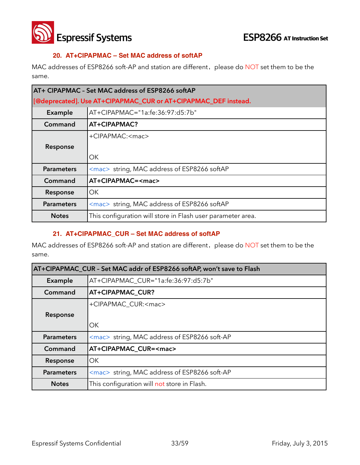

#### **20. AT+CIPAPMAC – Set MAC address of softAP**

MAC addresses of ESP8266 soft-AP and station are different, please do NOT set them to be the same.

| AT+ CIPAPMAC - Set MAC address of ESP8266 softAP               |                                                             |
|----------------------------------------------------------------|-------------------------------------------------------------|
| [@deprecated]. Use AT+CIPAPMAC_CUR or AT+CIPAPMAC_DEF instead. |                                                             |
| Example                                                        | AT+CIPAPMAC="1a:fe:36:97:d5:7b"                             |
| Command                                                        | AT+CIPAPMAC?                                                |
|                                                                | +CIPAPMAC: <mac></mac>                                      |
| Response                                                       |                                                             |
|                                                                | OK.                                                         |
| <b>Parameters</b>                                              | <mac> string, MAC address of ESP8266 softAP</mac>           |
| Command                                                        | AT+CIPAPMAC= <mac></mac>                                    |
| Response                                                       | OK.                                                         |
| <b>Parameters</b>                                              | <mac> string, MAC address of ESP8266 softAP</mac>           |
| <b>Notes</b>                                                   | This configuration will store in Flash user parameter area. |

#### **21. AT+CIPAPMAC\_CUR – Set MAC address of softAP**

| AT+CIPAPMAC_CUR - Set MAC addr of ESP8266 softAP, won't save to Flash |                                                    |
|-----------------------------------------------------------------------|----------------------------------------------------|
| Example                                                               | AT+CIPAPMAC_CUR="1a:fe:36:97:d5:7b"                |
| Command                                                               | AT+CIPAPMAC_CUR?                                   |
|                                                                       | +CIPAPMAC_CUR: <mac></mac>                         |
| Response                                                              |                                                    |
|                                                                       | OK                                                 |
| <b>Parameters</b>                                                     | <mac> string, MAC address of ESP8266 soft-AP</mac> |
| Command                                                               | AT+CIPAPMAC_CUR= <mac></mac>                       |
| Response                                                              | OK.                                                |
| <b>Parameters</b>                                                     | <mac> string, MAC address of ESP8266 soft-AP</mac> |
| <b>Notes</b>                                                          | This configuration will not store in Flash.        |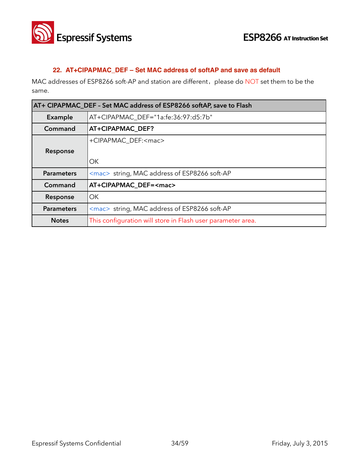

#### **22. AT+CIPAPMAC\_DEF – Set MAC address of softAP and save as default**

| AT+ CIPAPMAC DEF - Set MAC address of ESP8266 softAP, save to Flash |                                                             |
|---------------------------------------------------------------------|-------------------------------------------------------------|
| Example                                                             | AT+CIPAPMAC_DEF="1a:fe:36:97:d5:7b"                         |
| Command                                                             | AT+CIPAPMAC DEF?                                            |
|                                                                     | +CIPAPMAC_DEF: <mac></mac>                                  |
| Response                                                            |                                                             |
|                                                                     | OK.                                                         |
| <b>Parameters</b>                                                   | <mac> string, MAC address of ESP8266 soft-AP</mac>          |
| Command                                                             | AT+CIPAPMAC_DEF= <mac></mac>                                |
| Response                                                            | OK.                                                         |
| <b>Parameters</b>                                                   | <mac> string, MAC address of ESP8266 soft-AP</mac>          |
| <b>Notes</b>                                                        | This configuration will store in Flash user parameter area. |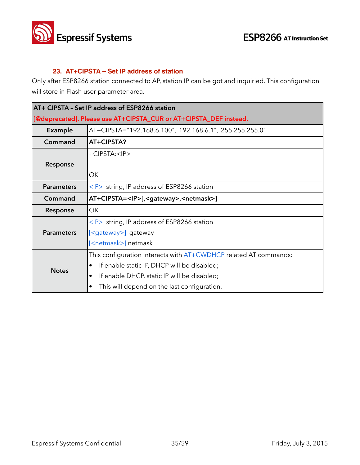

#### **23. AT+CIPSTA – Set IP address of station**

Only after ESP8266 station connected to AP, station IP can be got and inquiried. This configuration will store in Flash user parameter area.

| AT+ CIPSTA - Set IP address of ESP8266 station                    |                                                                  |
|-------------------------------------------------------------------|------------------------------------------------------------------|
| [@deprecated]. Please use AT+CIPSTA_CUR or AT+CIPSTA_DEF instead. |                                                                  |
| Example                                                           | AT+CIPSTA="192.168.6.100","192.168.6.1","255.255.255.0"          |
| Command                                                           | AT+CIPSTA?                                                       |
|                                                                   | +CIPSTA: <ip></ip>                                               |
| Response                                                          |                                                                  |
|                                                                   | ОК                                                               |
| <b>Parameters</b>                                                 | $\langle P \rangle$ string, IP address of ESP8266 station        |
| Command                                                           | AT+CIPSTA= <ip>[,<gateway>,<netmask>]</netmask></gateway></ip>   |
| Response                                                          | OK                                                               |
|                                                                   | <ip> string, IP address of ESP8266 station</ip>                  |
| <b>Parameters</b>                                                 | [ <gateway>] gateway</gateway>                                   |
|                                                                   | [ <netmask>] netmask</netmask>                                   |
|                                                                   | This configuration interacts with AT+CWDHCP related AT commands: |
| <b>Notes</b>                                                      | If enable static IP, DHCP will be disabled;<br>٠                 |
|                                                                   | If enable DHCP, static IP will be disabled;<br>٠                 |
|                                                                   | This will depend on the last configuration.<br>٠                 |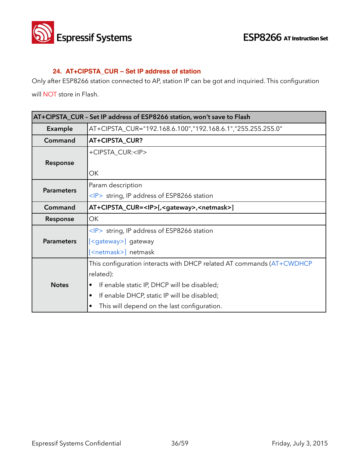

#### **24. AT+CIPSTA\_CUR – Set IP address of station**

Only after ESP8266 station connected to AP, station IP can be got and inquiried. This configuration

will NOT store in Flash.

| AT+CIPSTA_CUR - Set IP address of ESP8266 station, won't save to Flash |                                                                       |
|------------------------------------------------------------------------|-----------------------------------------------------------------------|
| <b>Example</b>                                                         | AT+CIPSTA_CUR="192.168.6.100","192.168.6.1","255.255.255.0"           |
| Command                                                                | AT+CIPSTA_CUR?                                                        |
|                                                                        | +CIPSTA_CUR: <ip></ip>                                                |
| Response                                                               |                                                                       |
|                                                                        | ОK                                                                    |
| <b>Parameters</b>                                                      | Param description                                                     |
|                                                                        | <ip> string, IP address of ESP8266 station</ip>                       |
| Command                                                                | AT+CIPSTA_CUR= <ip>[,<gateway>,<netmask>]</netmask></gateway></ip>    |
| Response                                                               | OK                                                                    |
|                                                                        | $\langle P \rangle$ string, IP address of ESP8266 station             |
| <b>Parameters</b>                                                      | [ <gateway>] gateway</gateway>                                        |
|                                                                        | [ <netmask>] netmask</netmask>                                        |
| <b>Notes</b>                                                           | This configuration interacts with DHCP related AT commands (AT+CWDHCP |
|                                                                        | related):                                                             |
|                                                                        | If enable static IP, DHCP will be disabled;                           |
|                                                                        | If enable DHCP, static IP will be disabled;<br>$\bullet$              |
|                                                                        | This will depend on the last configuration.<br>٠                      |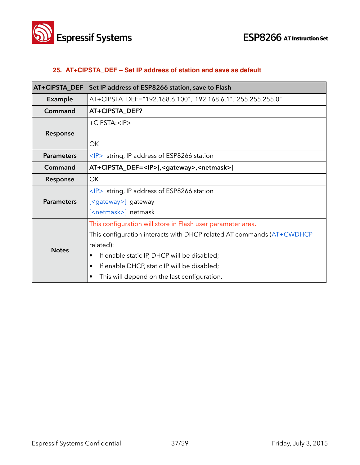

#### **25. AT+CIPSTA\_DEF – Set IP address of station and save as default**

| AT+CIPSTA_DEF - Set IP address of ESP8266 station, save to Flash |                                                                       |
|------------------------------------------------------------------|-----------------------------------------------------------------------|
| Example                                                          | AT+CIPSTA_DEF="192.168.6.100","192.168.6.1","255.255.255.0"           |
| Command                                                          | AT+CIPSTA_DEF?                                                        |
|                                                                  | +CIPSTA: <ip></ip>                                                    |
| Response                                                         |                                                                       |
|                                                                  | ОK                                                                    |
| <b>Parameters</b>                                                | $\langle P \rangle$ string, IP address of ESP8266 station             |
| Command                                                          | AT+CIPSTA_DEF= <ip>[,<gateway>,<netmask>]</netmask></gateway></ip>    |
| Response                                                         | ОK                                                                    |
|                                                                  | $\langle P \rangle$ string, IP address of ESP8266 station             |
| <b>Parameters</b>                                                | [ <gateway>] gateway</gateway>                                        |
|                                                                  | [ <netmask>] netmask</netmask>                                        |
|                                                                  | This configuration will store in Flash user parameter area.           |
|                                                                  | This configuration interacts with DHCP related AT commands (AT+CWDHCP |
| <b>Notes</b>                                                     | related):                                                             |
|                                                                  | If enable static IP, DHCP will be disabled;                           |
|                                                                  | If enable DHCP, static IP will be disabled;                           |
|                                                                  | This will depend on the last configuration.                           |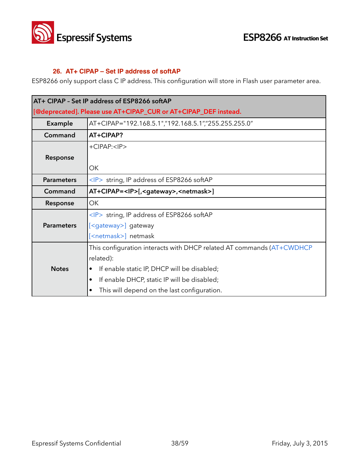

#### **26. AT+ CIPAP – Set IP address of softAP**

ESP8266 only support class C IP address. This configuration will store in Flash user parameter area.

| AT+ CIPAP - Set IP address of ESP8266 softAP                    |                                                                       |
|-----------------------------------------------------------------|-----------------------------------------------------------------------|
| [@deprecated]. Please use AT+CIPAP_CUR or AT+CIPAP_DEF instead. |                                                                       |
| Example                                                         | AT+CIPAP="192.168.5.1","192.168.5.1","255.255.255.0"                  |
| Command                                                         | AT+CIPAP?                                                             |
|                                                                 | $+C$ $PPAP$ : $<$ $PP$                                                |
| Response                                                        |                                                                       |
|                                                                 | ОK                                                                    |
| <b>Parameters</b>                                               | $\langle P \rangle$ string, IP address of ESP8266 softAP              |
| Command                                                         | AT+CIPAP= <ip>[,<gateway>,<netmask>]</netmask></gateway></ip>         |
| Response                                                        | OK.                                                                   |
|                                                                 | <ip> string, IP address of ESP8266 softAP</ip>                        |
| <b>Parameters</b>                                               | [ <gateway>] gateway</gateway>                                        |
|                                                                 | [ <netmask>] netmask</netmask>                                        |
|                                                                 | This configuration interacts with DHCP related AT commands (AT+CWDHCP |
|                                                                 | related):                                                             |
| <b>Notes</b>                                                    | If enable static IP, DHCP will be disabled;                           |
|                                                                 | If enable DHCP, static IP will be disabled;<br>$\bullet$              |
|                                                                 | This will depend on the last configuration.<br>٠                      |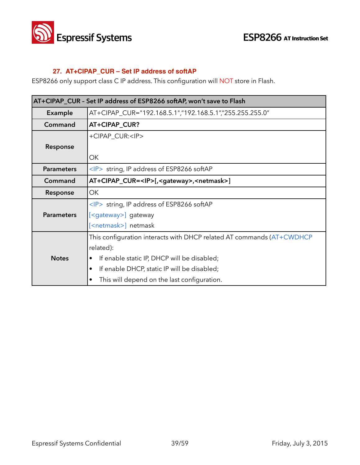

#### **27. AT+CIPAP\_CUR – Set IP address of softAP**

ESP8266 only support class C IP address. This configuration will NOT store in Flash.

| AT+CIPAP_CUR - Set IP address of ESP8266 softAP, won't save to Flash |                                                                       |
|----------------------------------------------------------------------|-----------------------------------------------------------------------|
| Example                                                              | AT+CIPAP_CUR="192.168.5.1","192.168.5.1","255.255.255.0"              |
| Command                                                              | AT+CIPAP_CUR?                                                         |
|                                                                      | +CIPAP_CUR: <ip></ip>                                                 |
| Response                                                             |                                                                       |
|                                                                      | ОΚ                                                                    |
| <b>Parameters</b>                                                    | $\langle P \rangle$ string, IP address of ESP8266 softAP              |
| Command                                                              | AT+CIPAP_CUR= <ip>[,<gateway>,<netmask>]</netmask></gateway></ip>     |
| Response                                                             | ОK                                                                    |
|                                                                      | $\langle P \rangle$ string, IP address of ESP8266 softAP              |
| <b>Parameters</b>                                                    | [ <gateway>] gateway</gateway>                                        |
|                                                                      | [ <netmask>] netmask</netmask>                                        |
|                                                                      | This configuration interacts with DHCP related AT commands (AT+CWDHCP |
|                                                                      | related):                                                             |
| <b>Notes</b>                                                         | If enable static IP, DHCP will be disabled;                           |
|                                                                      | If enable DHCP, static IP will be disabled;                           |
|                                                                      | This will depend on the last configuration.                           |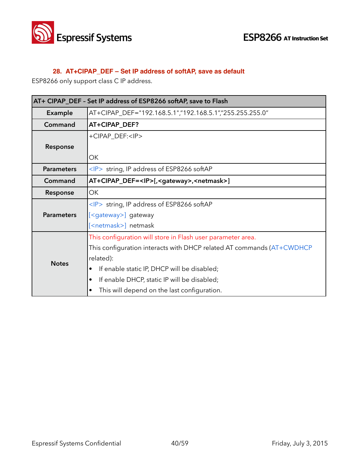

#### **28. AT+CIPAP\_DEF – Set IP address of softAP, save as default**

ESP8266 only support class C IP address.

| AT+ CIPAP_DEF - Set IP address of ESP8266 softAP, save to Flash |                                                                       |
|-----------------------------------------------------------------|-----------------------------------------------------------------------|
| Example                                                         | AT+CIPAP_DEF="192.168.5.1","192.168.5.1","255.255.255.0"              |
| Command                                                         | AT+CIPAP_DEF?                                                         |
|                                                                 | +CIPAP_DEF: <ip></ip>                                                 |
| Response                                                        |                                                                       |
|                                                                 | OK                                                                    |
| <b>Parameters</b>                                               | $\langle P \rangle$ string, IP address of ESP8266 softAP              |
| Command                                                         | AT+CIPAP_DEF= <ip>[,<gateway>,<netmask>]</netmask></gateway></ip>     |
| Response                                                        | OK                                                                    |
| <b>Parameters</b>                                               | $\langle P \rangle$ string, IP address of ESP8266 softAP              |
|                                                                 | [ <gateway>] gateway</gateway>                                        |
|                                                                 | [ <netmask>] netmask</netmask>                                        |
| <b>Notes</b>                                                    | This configuration will store in Flash user parameter area.           |
|                                                                 | This configuration interacts with DHCP related AT commands (AT+CWDHCP |
|                                                                 | related):                                                             |
|                                                                 | If enable static IP, DHCP will be disabled;                           |
|                                                                 | If enable DHCP, static IP will be disabled;<br>٠                      |
|                                                                 | This will depend on the last configuration.                           |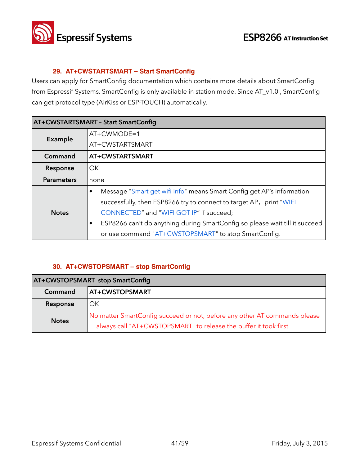

#### **29. AT+CWSTARTSMART – Start SmartConfig**

Users can apply for SmartConfig documentation which contains more details about SmartConfig from Espressif Systems. SmartConfig is only available in station mode. Since AT\_v1.0 , SmartConfig can get protocol type (AirKiss or ESP-TOUCH) automatically.

| <b>AT+CWSTARTSMART - Start SmartConfig</b> |                                                                             |
|--------------------------------------------|-----------------------------------------------------------------------------|
| Example                                    | $AT+CWMODE=1$                                                               |
|                                            | AT+CWSTARTSMART                                                             |
| Command                                    | <b>AT+CWSTARTSMART</b>                                                      |
| Response                                   | OK                                                                          |
| <b>Parameters</b>                          | none                                                                        |
|                                            | Message "Smart get wifi info" means Smart Config get AP's information       |
| <b>Notes</b>                               | successfully, then ESP8266 try to connect to target AP, print "WIFI         |
|                                            | CONNECTED" and "WIFI GOT IP" if succeed;                                    |
|                                            | ESP8266 can't do anything during SmartConfig so please wait till it succeed |
|                                            | or use command "AT+CWSTOPSMART" to stop SmartConfig.                        |

#### **30. AT+CWSTOPSMART – stop SmartConfig**

| <b>AT+CWSTOPSMART stop SmartConfig</b> |                                                                                                                                                |
|----------------------------------------|------------------------------------------------------------------------------------------------------------------------------------------------|
| Command                                | AT+CWSTOPSMART                                                                                                                                 |
| Response                               | OK                                                                                                                                             |
| <b>Notes</b>                           | No matter SmartConfig succeed or not, before any other AT commands please<br>always call "AT+CWSTOPSMART" to release the buffer it took first. |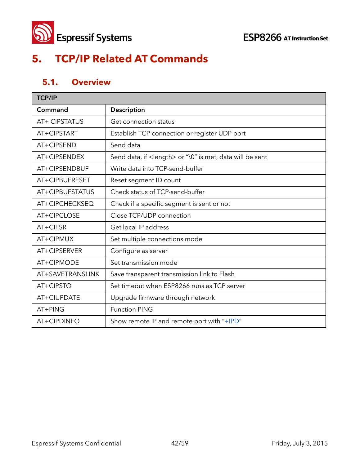

## **5. TCP/IP Related AT Commands**

### **5.1. Overview**

| <b>TCP/IP</b>    |                                                                   |
|------------------|-------------------------------------------------------------------|
| Command          | Description                                                       |
| AT+ CIPSTATUS    | Get connection status                                             |
| AT+CIPSTART      | Establish TCP connection or register UDP port                     |
| AT+CIPSEND       | Send data                                                         |
| AT+CIPSENDEX     | Send data, if <length> or "\0" is met, data will be sent</length> |
| AT+CIPSENDBUF    | Write data into TCP-send-buffer                                   |
| AT+CIPBUFRESET   | Reset segment ID count                                            |
| AT+CIPBUFSTATUS  | Check status of TCP-send-buffer                                   |
| AT+CIPCHECKSEQ   | Check if a specific segment is sent or not                        |
| AT+CIPCLOSE      | Close TCP/UDP connection                                          |
| AT+CIFSR         | Get local IP address                                              |
| AT+CIPMUX        | Set multiple connections mode                                     |
| AT+CIPSERVER     | Configure as server                                               |
| AT+CIPMODE       | Set transmission mode                                             |
| AT+SAVETRANSLINK | Save transparent transmission link to Flash                       |
| AT+CIPSTO        | Set timeout when ESP8266 runs as TCP server                       |
| AT+CIUPDATE      | Upgrade firmware through network                                  |
| AT+PING          | <b>Function PING</b>                                              |
| AT+CIPDINFO      | Show remote IP and remote port with "+IPD"                        |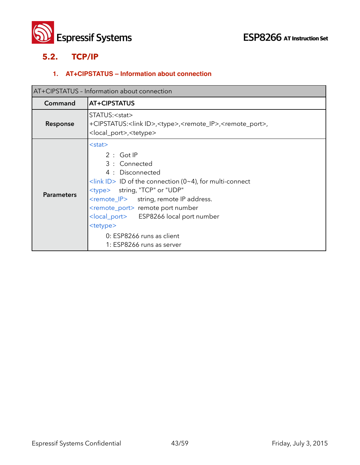

#### **5.2. TCP/IP**

#### **1. AT+CIPSTATUS – Information about connection**

| AT+CIPSTATUS - Information about connection |                                                                                                                                                                                                                                                                                                                                                                                                                                      |
|---------------------------------------------|--------------------------------------------------------------------------------------------------------------------------------------------------------------------------------------------------------------------------------------------------------------------------------------------------------------------------------------------------------------------------------------------------------------------------------------|
| Command                                     | AT+CIPSTATUS                                                                                                                                                                                                                                                                                                                                                                                                                         |
| Response                                    | STATUS: <stat><br/>+CIPSTATUS:<link id=""/>,<type>,<remote_ip>,<remote_port>,<br/><local_port>,<tetype></tetype></local_port></remote_port></remote_ip></type></stat>                                                                                                                                                                                                                                                                |
| <b>Parameters</b>                           | $<$ stat $>$<br>$2:$ Got IP<br>3 : Connected<br>4 : Disconnected<br>$\frac{1}{\sinh}$ ID > ID of the connection (0~4), for multi-connect<br><type> string, "TCP" or "UDP"<br/><remote_ip> string, remote IP address.<br/><remote_port> remote port number<br/><local_port> ESP8266 local port number<br/><tetype><br/>0: ESP8266 runs as client<br/>1: ESP8266 runs as server</tetype></local_port></remote_port></remote_ip></type> |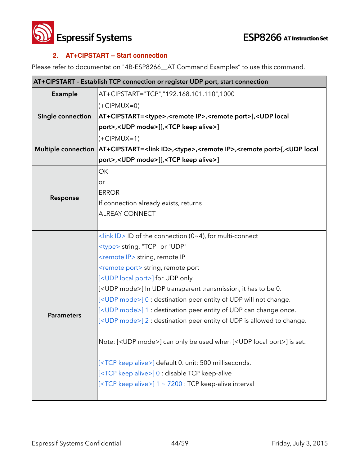

#### **2. AT+CIPSTART – Start connection**

Please refer to documentation "4B-ESP8266\_\_AT Command Examples" to use this command.

| AT+CIPSTART - Establish TCP connection or register UDP port, start connection |                                                                                                                                                 |  |
|-------------------------------------------------------------------------------|-------------------------------------------------------------------------------------------------------------------------------------------------|--|
| Example                                                                       | AT+CIPSTART="TCP","192.168.101.110",1000                                                                                                        |  |
| Single connection                                                             | $(+CIPMUX=0)$                                                                                                                                   |  |
|                                                                               | AT+CIPSTART= <type>,<remote ip="">,<remote port="">[,<udp local<="" td=""></udp></remote></remote></type>                                       |  |
|                                                                               | port>, <udp mode="">][,<tcp alive="" keep="">]</tcp></udp>                                                                                      |  |
|                                                                               | $(+CIPMUX=1)$                                                                                                                                   |  |
|                                                                               | Multiple connection   AT+CIPSTART= <link id=""/> , <type>,<remote ip="">,<remote port="">[,<udp local<="" td=""></udp></remote></remote></type> |  |
|                                                                               | port>, <udp mode="">][,<tcp alive="" keep="">]</tcp></udp>                                                                                      |  |
|                                                                               | <b>OK</b>                                                                                                                                       |  |
|                                                                               | or                                                                                                                                              |  |
| Response                                                                      | <b>ERROR</b>                                                                                                                                    |  |
|                                                                               | If connection already exists, returns                                                                                                           |  |
|                                                                               | <b>ALREAY CONNECT</b>                                                                                                                           |  |
|                                                                               |                                                                                                                                                 |  |
|                                                                               | <link id=""/> ID of the connection (0~4), for multi-connect                                                                                     |  |
|                                                                               | <type> string, "TCP" or "UDP"</type>                                                                                                            |  |
|                                                                               | <remote ip=""> string, remote IP</remote>                                                                                                       |  |
|                                                                               | <remote port=""> string, remote port</remote>                                                                                                   |  |
|                                                                               | [ <udp local="" port="">] for UDP only</udp>                                                                                                    |  |
|                                                                               | [ <udp mode="">] In UDP transparent transmission, it has to be 0.</udp>                                                                         |  |
|                                                                               | [ <udp mode="">] 0 : destination peer entity of UDP will not change.</udp>                                                                      |  |
| <b>Parameters</b>                                                             | [ <udp mode="">] 1 : destination peer entity of UDP can change once.</udp>                                                                      |  |
|                                                                               | [ <udp mode="">] 2 : destination peer entity of UDP is allowed to change.</udp>                                                                 |  |
|                                                                               | Note: [ <udp mode="">] can only be used when [<udp local="" port="">] is set.</udp></udp>                                                       |  |
|                                                                               | [ <tcp alive="" keep="">] default 0. unit: 500 milliseconds.</tcp>                                                                              |  |
|                                                                               | [ <tcp alive="" keep="">] 0 : disable TCP keep-alive</tcp>                                                                                      |  |
|                                                                               | [ <tcp alive="" keep="">] 1 ~ 7200 : TCP keep-alive interval</tcp>                                                                              |  |
|                                                                               |                                                                                                                                                 |  |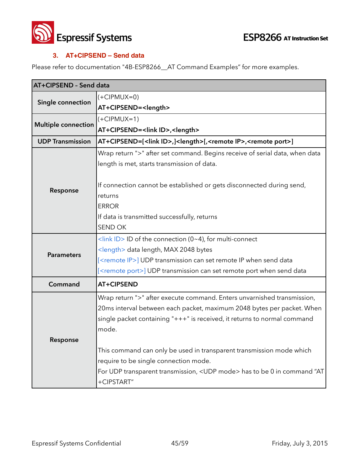



#### **3. AT+CIPSEND – Send data**

Please refer to documentation "4B-ESP8266\_AT Command Examples" for more examples.

| AT+CIPSEND - Send data     |                                                                                                     |  |
|----------------------------|-----------------------------------------------------------------------------------------------------|--|
| Single connection          | $(+CIPMUX=0)$                                                                                       |  |
|                            | AT+CIPSEND= <length></length>                                                                       |  |
|                            | $(+CIPMUX=1)$                                                                                       |  |
| <b>Multiple connection</b> | AT+CIPSEND= <link id=""/> , <length></length>                                                       |  |
| <b>UDP Transmission</b>    | AT+CIPSEND=[ <link id=""/> ,] <length>[,<remote ip="">,<remote port="">]</remote></remote></length> |  |
|                            | Wrap return ">" after set command. Begins receive of serial data, when data                         |  |
|                            | length is met, starts transmission of data.                                                         |  |
|                            |                                                                                                     |  |
| Response                   | If connection cannot be established or gets disconnected during send,                               |  |
|                            | returns                                                                                             |  |
|                            | <b>ERROR</b>                                                                                        |  |
|                            | If data is transmitted successfully, returns                                                        |  |
|                            | <b>SEND OK</b>                                                                                      |  |
|                            | $\frac{1}{\sin k}$ ID > ID of the connection (0~4), for multi-connect                               |  |
| <b>Parameters</b>          | <length> data length, MAX 2048 bytes</length>                                                       |  |
|                            | [ <remote ip="">] UDP transmission can set remote IP when send data</remote>                        |  |
|                            | [ <remote port="">] UDP transmission can set remote port when send data</remote>                    |  |
| Command                    | <b>AT+CIPSEND</b>                                                                                   |  |
|                            | Wrap return ">" after execute command. Enters unvarnished transmission,                             |  |
|                            | 20ms interval between each packet, maximum 2048 bytes per packet. When                              |  |
|                            | single packet containing "+++" is received, it returns to normal command                            |  |
|                            | mode.                                                                                               |  |
| Response                   |                                                                                                     |  |
|                            | This command can only be used in transparent transmission mode which                                |  |
|                            | require to be single connection mode.                                                               |  |
|                            | For UDP transparent transmission, <udp mode=""> has to be 0 in command "AT</udp>                    |  |
|                            | +CIPSTART"                                                                                          |  |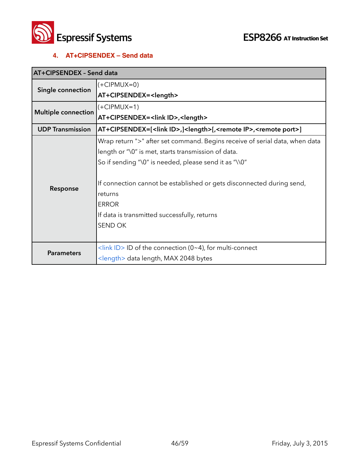

#### **4. AT+CIPSENDEX – Send data**

| AT+CIPSENDEX - Send data   |                                                                                                       |
|----------------------------|-------------------------------------------------------------------------------------------------------|
| Single connection          | $(+CIPMUX=0)$                                                                                         |
|                            | AT+CIPSENDEX= <length></length>                                                                       |
| <b>Multiple connection</b> | $(+CIPMUX=1)$                                                                                         |
|                            | AT+CIPSENDEX= <link id=""/> , <length></length>                                                       |
| <b>UDP Transmission</b>    | AT+CIPSENDEX=[ <link id=""/> ,] <length>[,<remote ip="">,<remote port="">]</remote></remote></length> |
|                            | Wrap return ">" after set command. Begins receive of serial data, when data                           |
|                            | length or "\0" is met, starts transmission of data.                                                   |
|                            | So if sending "\0" is needed, please send it as "\\0"                                                 |
|                            |                                                                                                       |
| Response                   | If connection cannot be established or gets disconnected during send,                                 |
|                            | returns                                                                                               |
|                            | <b>ERROR</b>                                                                                          |
|                            | If data is transmitted successfully, returns                                                          |
|                            | <b>SEND OK</b>                                                                                        |
|                            |                                                                                                       |
| <b>Parameters</b>          | <link id=""/> ID of the connection (0~4), for multi-connect                                           |
|                            | <length> data length, MAX 2048 bytes</length>                                                         |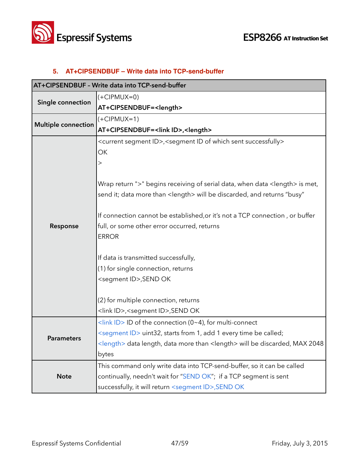



#### **5. AT+CIPSENDBUF – Write data into TCP-send-buffer**

| AT+CIPSENDBUF - Write data into TCP-send-buffer |                                                                                                       |  |
|-------------------------------------------------|-------------------------------------------------------------------------------------------------------|--|
| Single connection                               | $(+CIPMUX=0)$                                                                                         |  |
|                                                 | AT+CIPSENDBUF= <length></length>                                                                      |  |
|                                                 | $(+CIPMUX=1)$                                                                                         |  |
| <b>Multiple connection</b>                      | AT+CIPSENDBUF= <link id=""/> , <length></length>                                                      |  |
|                                                 | <current id="" segment="">,<segment id="" of="" sent="" successfully="" which=""></segment></current> |  |
|                                                 | OK                                                                                                    |  |
|                                                 | >                                                                                                     |  |
|                                                 |                                                                                                       |  |
|                                                 | Wrap return ">" begins receiving of serial data, when data <length> is met,</length>                  |  |
|                                                 | send it; data more than <length> will be discarded, and returns "busy"</length>                       |  |
|                                                 |                                                                                                       |  |
|                                                 | If connection cannot be established, or it's not a TCP connection, or buffer                          |  |
| Response                                        | full, or some other error occurred, returns<br><b>ERROR</b>                                           |  |
|                                                 |                                                                                                       |  |
|                                                 | If data is transmitted successfully,                                                                  |  |
|                                                 | (1) for single connection, returns                                                                    |  |
|                                                 | <segment id="">, SEND OK</segment>                                                                    |  |
|                                                 |                                                                                                       |  |
|                                                 | (2) for multiple connection, returns                                                                  |  |
|                                                 | <link id=""/> , <segment id="">,SEND OK</segment>                                                     |  |
|                                                 | <link id=""/> ID of the connection (0~4), for multi-connect                                           |  |
| <b>Parameters</b>                               | <segment id=""> uint32, starts from 1, add 1 every time be called;</segment>                          |  |
|                                                 | <length> data length, data more than <length> will be discarded, MAX 2048</length></length>           |  |
|                                                 | bytes                                                                                                 |  |
|                                                 | This command only write data into TCP-send-buffer, so it can be called                                |  |
| <b>Note</b>                                     | continually, needn't wait for "SEND OK"; if a TCP segment is sent                                     |  |
|                                                 | successfully, it will return <segment id="">, SEND OK</segment>                                       |  |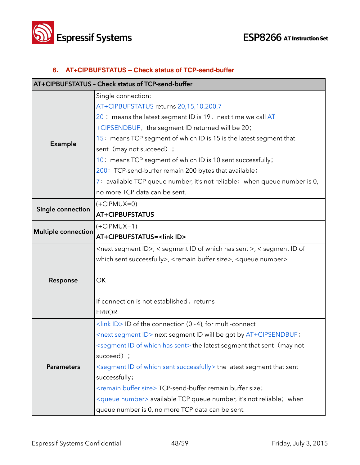

#### **6. AT+CIPBUFSTATUS – Check status of TCP-send-buffer**

| AT+CIPBUFSTATUS - Check status of TCP-send-buffer |                                                                                               |
|---------------------------------------------------|-----------------------------------------------------------------------------------------------|
|                                                   | Single connection:                                                                            |
|                                                   | AT+CIPBUFSTATUS returns 20,15,10,200,7                                                        |
|                                                   | 20 : means the latest segment ID is 19, next time we call AT                                  |
|                                                   | +CIPSENDBUF, the segment ID returned will be 20;                                              |
|                                                   | 15: means TCP segment of which ID is 15 is the latest segment that                            |
| <b>Example</b>                                    | sent (may not succeed) ;                                                                      |
|                                                   | 10: means TCP segment of which ID is 10 sent successfully;                                    |
|                                                   | 200: TCP-send-buffer remain 200 bytes that available;                                         |
|                                                   | 7: available TCP queue number, it's not reliable; when queue number is 0,                     |
|                                                   | no more TCP data can be sent.                                                                 |
|                                                   | $(+CIPMUX=0)$                                                                                 |
| Single connection                                 | <b>AT+CIPBUFSTATUS</b>                                                                        |
|                                                   | $(+CIPMUX=1)$                                                                                 |
| <b>Multiple connection</b>                        | AT+CIPBUFSTATUS= <link id=""/>                                                                |
|                                                   | <next id="" segment="">, &lt; segment ID of which has sent &gt;, &lt; segment ID of</next>    |
|                                                   | which sent successfully>, <remain buffer="" size="">, <queue number=""></queue></remain>      |
|                                                   |                                                                                               |
| Response                                          | OK                                                                                            |
|                                                   |                                                                                               |
|                                                   | If connection is not established, returns                                                     |
|                                                   | <b>ERROR</b>                                                                                  |
|                                                   | <link id=""/> ID of the connection (0~4), for multi-connect                                   |
|                                                   | <next id="" segment=""> next segment ID will be got by AT+CIPSENDBUF;</next>                  |
|                                                   | <segment has="" id="" of="" sent="" which=""> the latest segment that sent (may not</segment> |
|                                                   | succeed) ;                                                                                    |
| <b>Parameters</b>                                 | <segment id="" of="" sent="" successfully="" which=""> the latest segment that sent</segment> |
|                                                   | successfully;                                                                                 |
|                                                   | <remain buffer="" size=""> TCP-send-buffer remain buffer size;</remain>                       |
|                                                   | <queue number=""> available TCP queue number, it's not reliable; when</queue>                 |
|                                                   | queue number is 0, no more TCP data can be sent.                                              |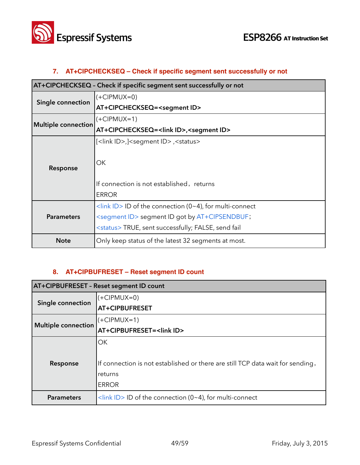

#### **7. AT+CIPCHECKSEQ – Check if specific segment sent successfully or not**

| AT+CIPCHECKSEQ - Check if specific segment sent successfully or not |                                                                       |
|---------------------------------------------------------------------|-----------------------------------------------------------------------|
| <b>Single connection</b>                                            | $(+CIPMUX=0)$                                                         |
|                                                                     | AT+CIPCHECKSEQ= <segment id=""></segment>                             |
|                                                                     | (+CIPMUX=1)                                                           |
| <b>Multiple connection</b>                                          | AT+CIPCHECKSEQ= <link id=""/> , <segment id=""></segment>             |
|                                                                     | [ <link id=""/> ,] <segment id="">,<status></status></segment>        |
|                                                                     |                                                                       |
| Response                                                            | ОK                                                                    |
|                                                                     |                                                                       |
|                                                                     | If connection is not established, returns                             |
|                                                                     | <b>ERROR</b>                                                          |
| <b>Parameters</b>                                                   | $\frac{1}{\sin k}$ ID > ID of the connection (0~4), for multi-connect |
|                                                                     | <segment id=""> segment ID got by AT+CIPSENDBUF;</segment>            |
|                                                                     | <status>TRUE, sent successfully; FALSE, send fail</status>            |
| <b>Note</b>                                                         | Only keep status of the latest 32 segments at most.                   |

#### **8. AT+CIPBUFRESET – Reset segment ID count**

| AT+CIPBUFRESET - Reset segment ID count |                                                                                |
|-----------------------------------------|--------------------------------------------------------------------------------|
| Single connection                       | $(+CIPMUX=0)$                                                                  |
|                                         | AT+CIPBUFRESET                                                                 |
| <b>Multiple connection</b>              | $(+CIPMUX=1)$                                                                  |
|                                         | AT+CIPBUFRESET= <link id=""/>                                                  |
|                                         | OK                                                                             |
|                                         |                                                                                |
| Response                                | If connection is not established or there are still TCP data wait for sending, |
|                                         | returns                                                                        |
|                                         | <b>ERROR</b>                                                                   |
| <b>Parameters</b>                       | $\frac{1}{2}$ <link id=""/> ID of the connection (0~4), for multi-connect      |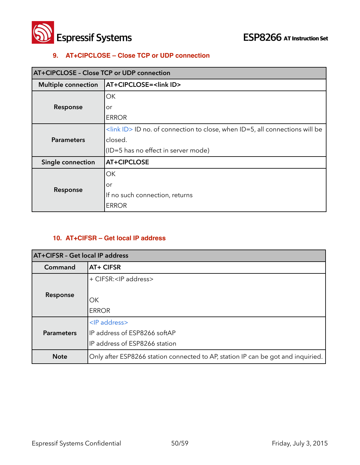

#### **9. AT+CIPCLOSE – Close TCP or UDP connection**

| AT+CIPCLOSE - Close TCP or UDP connection |                                                                                               |  |
|-------------------------------------------|-----------------------------------------------------------------------------------------------|--|
| <b>Multiple connection</b>                | AT+CIPCLOSE= <link id=""/>                                                                    |  |
| Response                                  | OK                                                                                            |  |
|                                           | or                                                                                            |  |
|                                           | <b>ERROR</b>                                                                                  |  |
| <b>Parameters</b>                         | $\frac{1}{2}$ <link id=""/> ID no. of connection to close, when ID=5, all connections will be |  |
|                                           | closed.                                                                                       |  |
|                                           | (ID=5 has no effect in server mode)                                                           |  |
| Single connection                         | <b>AT+CIPCLOSE</b>                                                                            |  |
| Response                                  | ОК                                                                                            |  |
|                                           | or                                                                                            |  |
|                                           | If no such connection, returns                                                                |  |
|                                           | <b>ERROR</b>                                                                                  |  |

#### **10. AT+CIFSR – Get local IP address**

| AT+CIFSR - Get local IP address |                                                                                         |
|---------------------------------|-----------------------------------------------------------------------------------------|
| Command                         | <b>AT+ CIFSR</b>                                                                        |
|                                 | + CIFSR: <ip address=""></ip>                                                           |
| Response                        | ОK<br><b>ERROR</b>                                                                      |
| <b>Parameters</b>               | <ip address=""><br/>IP address of ESP8266 softAP<br/>IP address of ESP8266 station</ip> |
| <b>Note</b>                     | Only after ESP8266 station connected to AP, station IP can be got and inquiried.        |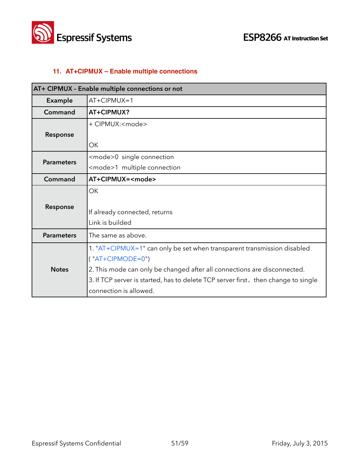



#### **11. AT+CIPMUX – Enable multiple connections**

| AT+ CIPMUX - Enable multiple connections or not |                                                                                    |
|-------------------------------------------------|------------------------------------------------------------------------------------|
| Example                                         | $AT+CIPMUX=1$                                                                      |
| Command                                         | AT+CIPMUX?                                                                         |
|                                                 | + CIPMUX: <mode></mode>                                                            |
| Response                                        |                                                                                    |
|                                                 | ОК                                                                                 |
| <b>Parameters</b>                               | <mode>0 single connection</mode>                                                   |
|                                                 | <mode>1 multiple connection</mode>                                                 |
| Command                                         | AT+CIPMUX= <mode></mode>                                                           |
|                                                 | <b>OK</b>                                                                          |
| Response                                        |                                                                                    |
|                                                 | If already connected, returns                                                      |
|                                                 | Link is builded                                                                    |
| <b>Parameters</b>                               | The same as above.                                                                 |
| <b>Notes</b>                                    | 1. "AT+CIPMUX=1" can only be set when transparent transmission disabled            |
|                                                 | $('AT+CIPMODE=0")$                                                                 |
|                                                 | 2. This mode can only be changed after all connections are disconnected.           |
|                                                 | 3. If TCP server is started, has to delete TCP server first, then change to single |
|                                                 | connection is allowed.                                                             |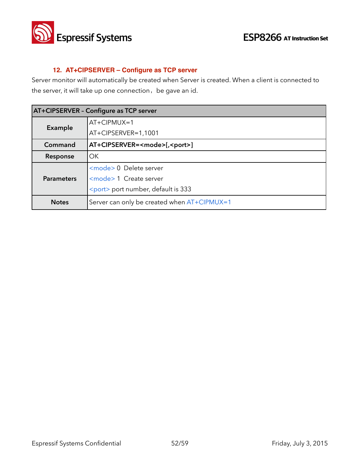

#### **12. AT+CIPSERVER – Configure as TCP server**

Server monitor will automatically be created when Server is created. When a client is connected to the server, it will take up one connection, be gave an id.

| AT+CIPSERVER - Configure as TCP server |                                             |  |
|----------------------------------------|---------------------------------------------|--|
| Example                                | AT+CIPMUX=1                                 |  |
|                                        | AT+CIPSERVER=1,1001                         |  |
| Command                                | AT+CIPSERVER= <mode>[,<port>]</port></mode> |  |
| Response                               | OK.                                         |  |
| <b>Parameters</b>                      | <mode> 0 Delete server</mode>               |  |
|                                        | <mode> 1 Create server</mode>               |  |
|                                        | <port> port number, default is 333</port>   |  |
| <b>Notes</b>                           | Server can only be created when AT+CIPMUX=1 |  |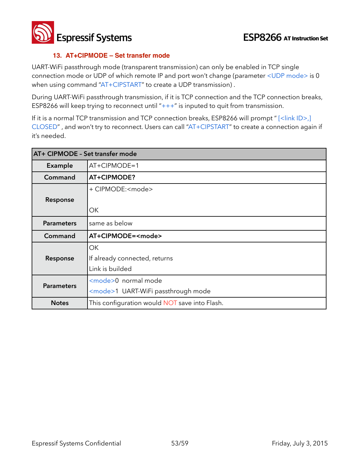**Espressif Systems ESP8266** AT Instruction Set

#### **13. AT+CIPMODE – Set transfer mode**

UART-WiFi passthrough mode (transparent transmission) can only be enabled in TCP single connection mode or UDP of which remote IP and port won't change (parameter <UDP mode> is 0 when using command "AT+CIPSTART" to create a UDP transmission) .

During UART-WiFi passthrough transmission, if it is TCP connection and the TCP connection breaks, ESP8266 will keep trying to reconnect until  $"++"$  is inputed to quit from transmission.

If it is a normal TCP transmission and TCP connection breaks, ESP8266 will prompt " [<link ID>,] CLOSED" , and won't try to reconnect. Users can call "AT+CIPSTART" to create a connection again if it's needed.

| AT+ CIPMODE - Set transfer mode |                                               |
|---------------------------------|-----------------------------------------------|
| Example                         | $AT+CIPMODE=1$                                |
| Command                         | AT+CIPMODE?                                   |
|                                 | + CIPMODE: <mode></mode>                      |
| Response                        |                                               |
|                                 | ОK                                            |
| <b>Parameters</b>               | same as below                                 |
| Command                         | AT+CIPMODE= <mode></mode>                     |
|                                 | OK                                            |
| Response                        | If already connected, returns                 |
|                                 | Link is builded                               |
|                                 | <mode>0 normal mode</mode>                    |
| <b>Parameters</b>               | <mode>1 UART-WiFi passthrough mode</mode>     |
| <b>Notes</b>                    | This configuration would NOT save into Flash. |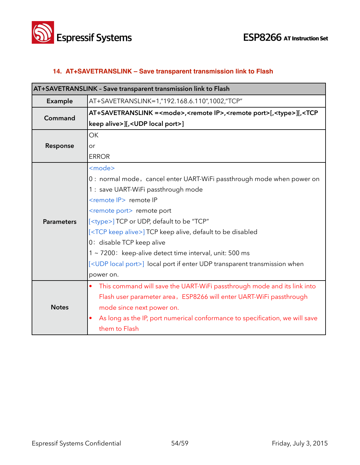

#### **14. AT+SAVETRANSLINK – Save transparent transmission link to Flash**

| AT+SAVETRANSLINK - Save transparent transmission link to Flash |                                                                                                                         |  |
|----------------------------------------------------------------|-------------------------------------------------------------------------------------------------------------------------|--|
| Example                                                        | AT+SAVETRANSLINK=1,"192.168.6.110",1002,"TCP"                                                                           |  |
| Command                                                        | AT+SAVETRANSLINK = <mode>,<remote ip="">,<remote port="">[,<type>][,<tcp< th=""></tcp<></type></remote></remote></mode> |  |
|                                                                | keep alive>][, <udp local="" port="">]</udp>                                                                            |  |
|                                                                | <b>OK</b>                                                                                                               |  |
| Response                                                       | or                                                                                                                      |  |
|                                                                | <b>ERROR</b>                                                                                                            |  |
|                                                                | <mode></mode>                                                                                                           |  |
|                                                                | 0: normal mode, cancel enter UART-WiFi passthrough mode when power on                                                   |  |
|                                                                | 1 : save UART-WiFi passthrough mode                                                                                     |  |
|                                                                | <remote ip=""> remote IP</remote>                                                                                       |  |
|                                                                | <remote port=""> remote port</remote>                                                                                   |  |
| <b>Parameters</b>                                              | [ <type>] TCP or UDP, default to be "TCP"</type>                                                                        |  |
|                                                                | [ <tcp alive="" keep="">] TCP keep alive, default to be disabled</tcp>                                                  |  |
|                                                                | 0: disable TCP keep alive                                                                                               |  |
|                                                                | 1 ~ 7200: keep-alive detect time interval, unit: 500 ms                                                                 |  |
|                                                                | [ <udp local="" port="">] local port if enter UDP transparent transmission when</udp>                                   |  |
|                                                                | power on.                                                                                                               |  |
|                                                                | This command will save the UART-WiFi passthrough mode and its link into<br>$\bullet$                                    |  |
| <b>Notes</b>                                                   | Flash user parameter area, ESP8266 will enter UART-WiFi passthrough                                                     |  |
|                                                                | mode since next power on.                                                                                               |  |
|                                                                | As long as the IP, port numerical conformance to specification, we will save                                            |  |
|                                                                | them to Flash                                                                                                           |  |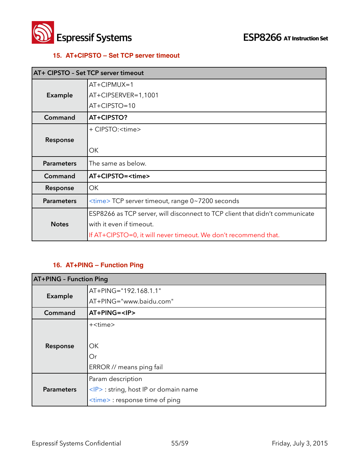

#### **15. AT+CIPSTO – Set TCP server timeout**

| AT+ CIPSTO - Set TCP server timeout |                                                                              |
|-------------------------------------|------------------------------------------------------------------------------|
|                                     | $AT+CIPMUX=1$                                                                |
| <b>Example</b>                      | AT+CIPSERVER=1,1001                                                          |
|                                     | AT+CIPSTO=10                                                                 |
| Command                             | AT+CIPSTO?                                                                   |
|                                     | + CIPSTO: <time></time>                                                      |
| Response                            |                                                                              |
|                                     | ОК                                                                           |
| <b>Parameters</b>                   | The same as below.                                                           |
| Command                             | AT+CIPSTO= <time></time>                                                     |
| Response                            | OK                                                                           |
| <b>Parameters</b>                   | <time> TCP server timeout, range 0~7200 seconds</time>                       |
|                                     | ESP8266 as TCP server, will disconnect to TCP client that didn't communicate |
| <b>Notes</b>                        | with it even if timeout.                                                     |
|                                     | If AT+CIPSTO=0, it will never timeout. We don't recommend that.              |

#### **16. AT+PING – Function Ping**

| <b>AT+PING - Function Ping</b> |                                            |  |
|--------------------------------|--------------------------------------------|--|
| <b>Example</b>                 | AT+PING="192.168.1.1"                      |  |
|                                | AT+PING="www.baidu.com"                    |  |
| Command                        | AT+PING= <ip></ip>                         |  |
|                                | + <time></time>                            |  |
| Response                       |                                            |  |
|                                | OK.                                        |  |
|                                | Or                                         |  |
|                                | ERROR // means ping fail                   |  |
| <b>Parameters</b>              | Param description                          |  |
|                                | <ip> : string, host IP or domain name</ip> |  |
|                                | <time> : response time of ping</time>      |  |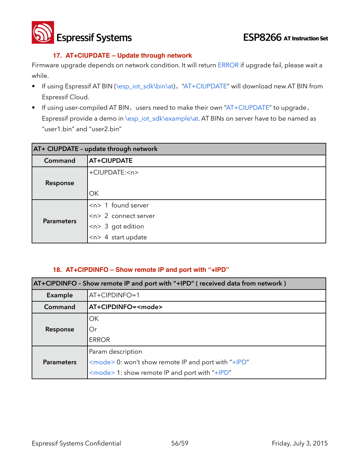**Espressif Systems ESP8266** AT Instruction Set

#### **17. AT+CIUPDATE – Update through network**

Firmware upgrade depends on network condition. It will return ERROR if upgrade fail, please wait a while.

- If using Espressif AT BIN (\esp\_iot\_sdk\bin\at), "AT+CIUPDATE" will download new AT BIN from Espressif Cloud.
- If using user-compiled AT BIN, users need to make their own "AT+CIUPDATE" to upgrade, Espressif provide a demo in \esp\_iot\_sdk\example\at. AT BINs on server have to be named as "user1.bin" and "user2.bin"

| AT+ CIUPDATE - update through network |                                    |
|---------------------------------------|------------------------------------|
| Command                               | AT+CIUPDATE                        |
|                                       | +CIUPDATE: <n></n>                 |
| Response                              |                                    |
|                                       | OK                                 |
| <b>Parameters</b>                     | $\langle n \rangle$ 1 found server |
|                                       | $\left $ <n> 2 connect server</n>  |
|                                       | $<$ n> 3 got edition               |
|                                       | $ n> $ 4 start update              |

#### **18. AT+CIPDINFO – Show remote IP and port with "+IPD"**

| AT+CIPDINFO - Show remote IP and port with "+IPD" (received data from network) |                                                            |  |
|--------------------------------------------------------------------------------|------------------------------------------------------------|--|
| Example                                                                        | AT+CIPDINFO=1                                              |  |
| Command                                                                        | AT+CIPDINFO= <mode></mode>                                 |  |
|                                                                                | OK                                                         |  |
| Response                                                                       | Or                                                         |  |
|                                                                                | <b>ERROR</b>                                               |  |
|                                                                                | Param description                                          |  |
| <b>Parameters</b>                                                              | <mode> 0: won't show remote IP and port with "+IPD"</mode> |  |
|                                                                                | $\leq$ mode > 1: show remote IP and port with "+IPD"       |  |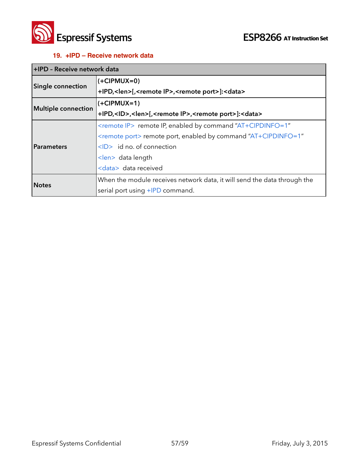

#### **19. +IPD – Receive network data**

| +IPD - Receive network data |                                                                                               |  |
|-----------------------------|-----------------------------------------------------------------------------------------------|--|
| <b>Single connection</b>    | $(+CIPMUX=0)$                                                                                 |  |
|                             | +IPD, <len>[,<remote ip="">,<remote port="">]:<data></data></remote></remote></len>           |  |
| <b>Multiple connection</b>  | $\left $ (+CIPMUX=1)                                                                          |  |
|                             | +IPD, <id>,<len>[,<remote ip="">,<remote port="">]:<data></data></remote></remote></len></id> |  |
|                             | <remote ip=""> remote IP, enabled by command "AT+CIPDINFO=1"</remote>                         |  |
|                             | <remote port=""> remote port, enabled by command "AT+CIPDINFO=1"</remote>                     |  |
| <b>Parameters</b>           | $\langle$ D> id no. of connection                                                             |  |
|                             | <len> data length</len>                                                                       |  |
|                             | <data> data received</data>                                                                   |  |
| <b>Notes</b>                | When the module receives network data, it will send the data through the                      |  |
|                             | serial port using +IPD command.                                                               |  |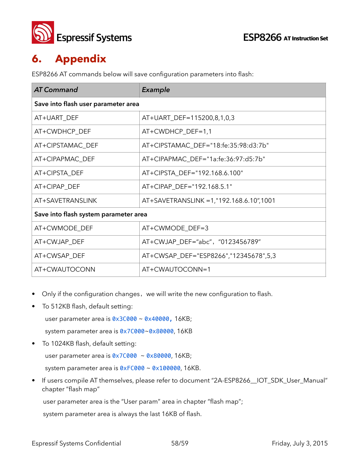

## **6. Appendix**

ESP8266 AT commands below will save configuration parameters into flash:

| <b>AT Command</b>                     | Example                                  |  |
|---------------------------------------|------------------------------------------|--|
| Save into flash user parameter area   |                                          |  |
| AT+UART DEF                           | AT+UART_DEF=115200,8,1,0,3               |  |
| AT+CWDHCP_DEF                         | AT+CWDHCP_DEF=1,1                        |  |
| AT+CIPSTAMAC DEF                      | AT+CIPSTAMAC_DEF="18:fe:35:98:d3:7b"     |  |
| AT+CIPAPMAC_DEF                       | AT+CIPAPMAC_DEF="1a:fe:36:97:d5:7b"      |  |
| AT+CIPSTA_DEF                         | AT+CIPSTA_DEF="192.168.6.100"            |  |
| AT+CIPAP DEF                          | AT+CIPAP_DEF="192.168.5.1"               |  |
| AT+SAVETRANSLINK                      | AT+SAVETRANSLINK = 1,"192.168.6.10",1001 |  |
| Save into flash system parameter area |                                          |  |
| AT+CWMODE_DEF                         | AT+CWMODE_DEF=3                          |  |
| AT+CWJAP_DEF                          | AT+CWJAP_DEF="abc", "0123456789"         |  |
| AT+CWSAP_DEF                          | AT+CWSAP_DEF="ESP8266","12345678",5,3    |  |
| AT+CWAUTOCONN                         | AT+CWAUTOCONN=1                          |  |

- Only if the configuration changes, we will write the new configuration to flash.
- To 512KB flash, default setting:

user parameter area is 0x3C000 ~ 0x40000, 16KB;

system parameter area is 0x7C000~0x80000, 16KB

• To 1024KB flash, default setting:

user parameter area is  $0 \times 7$ C000 ~  $0 \times 80000$ , 16KB;

system parameter area is 0xFC000 ~ 0x100000, 16KB.

If users compile AT themselves, please refer to document "2A-ESP8266\_IOT\_SDK\_User\_Manual" chapter "flash map"

user parameter area is the "User param" area in chapter "flash map";

system parameter area is always the last 16KB of flash.